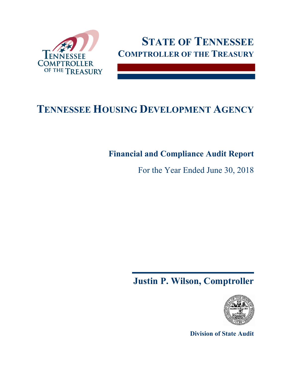



# **TENNESSEE HOUSING DEVELOPMENT AGENCY**

# **Financial and Compliance Audit Report**

For the Year Ended June 30, 2018

# **Justin P. Wilson, Comptroller**



**Division of State Audit**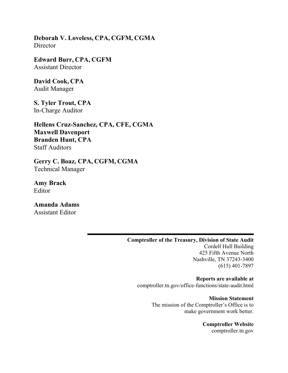**Deborah V. Loveless, CPA, CGFM, CGMA Director** 

**Edward Burr, CPA, CGFM**  Assistant Director

**David Cook, CPA**  Audit Manager

**S. Tyler Trout, CPA**  In-Charge Auditor

**Hellens Cruz-Sanchez, CPA, CFE, CGMA Maxwell Davenport Branden Hunt, CPA**  Staff Auditors

**Gerry C. Boaz, CPA, CGFM, CGMA** Technical Manager

**Amy Brack**  Editor

**Amanda Adams**  Assistant Editor

> **Comptroller of the Treasury, Division of State Audit**  Cordell Hull Building 425 Fifth Avenue North Nashville, TN 37243-3400 (615) 401-7897

**Reports are available at**  comptroller.tn.gov/office-functions/state-audit.html

> **Mission Statement**  The mission of the Comptroller's Office is to make government work better.

> > **Comptroller Website**  comptroller.tn.gov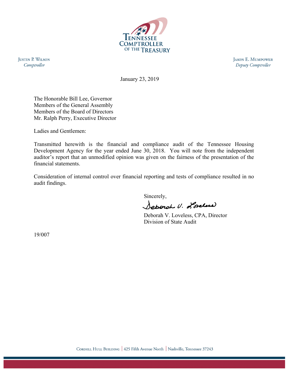

**JUSTIN P. WILSON** Comptroller

**JASON E. MUMPOWER** Deputy Comptroller

January 23, 2019

The Honorable Bill Lee, Governor Members of the General Assembly Members of the Board of Directors Mr. Ralph Perry, Executive Director

Ladies and Gentlemen:

Transmitted herewith is the financial and compliance audit of the Tennessee Housing Development Agency for the year ended June 30, 2018. You will note from the independent auditor's report that an unmodified opinion was given on the fairness of the presentation of the financial statements.

Consideration of internal control over financial reporting and tests of compliance resulted in no audit findings.

Sincerely,<br>Seboral U. Lorelson

 Deborah V. Loveless, CPA, Director Division of State Audit

19/007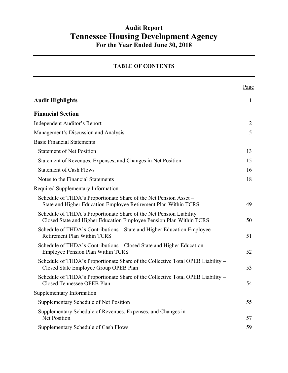## **Audit Report Tennessee Housing Development Agency For the Year Ended June 30, 2018**

#### **TABLE OF CONTENTS**

|                                                                                                                                              | Page |
|----------------------------------------------------------------------------------------------------------------------------------------------|------|
| <b>Audit Highlights</b>                                                                                                                      | 1    |
| <b>Financial Section</b>                                                                                                                     |      |
| Independent Auditor's Report                                                                                                                 | 2    |
| Management's Discussion and Analysis                                                                                                         | 5    |
| <b>Basic Financial Statements</b>                                                                                                            |      |
| <b>Statement of Net Position</b>                                                                                                             | 13   |
| Statement of Revenues, Expenses, and Changes in Net Position                                                                                 | 15   |
| <b>Statement of Cash Flows</b>                                                                                                               | 16   |
| Notes to the Financial Statements                                                                                                            | 18   |
| Required Supplementary Information                                                                                                           |      |
| Schedule of THDA's Proportionate Share of the Net Pension Asset –<br>State and Higher Education Employee Retirement Plan Within TCRS         | 49   |
| Schedule of THDA's Proportionate Share of the Net Pension Liability –<br>Closed State and Higher Education Employee Pension Plan Within TCRS | 50   |
| Schedule of THDA's Contributions – State and Higher Education Employee<br><b>Retirement Plan Within TCRS</b>                                 | 51   |
| Schedule of THDA's Contributions – Closed State and Higher Education<br><b>Employee Pension Plan Within TCRS</b>                             | 52   |
| Schedule of THDA's Proportionate Share of the Collective Total OPEB Liability -<br>Closed State Employee Group OPEB Plan                     | 53   |
| Schedule of THDA's Proportionate Share of the Collective Total OPEB Liability –<br>Closed Tennessee OPEB Plan                                | 54   |
| Supplementary Information                                                                                                                    |      |
| Supplementary Schedule of Net Position                                                                                                       | 55   |
| Supplementary Schedule of Revenues, Expenses, and Changes in<br>Net Position                                                                 | 57   |
| Supplementary Schedule of Cash Flows                                                                                                         | 59   |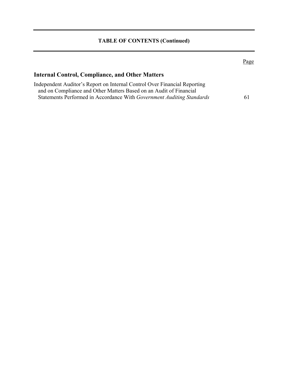#### Page

## **Internal Control, Compliance, and Other Matters**

| Independent Auditor's Report on Internal Control Over Financial Reporting    |     |
|------------------------------------------------------------------------------|-----|
| and on Compliance and Other Matters Based on an Audit of Financial           |     |
| Statements Performed in Accordance With <i>Government Auditing Standards</i> | -61 |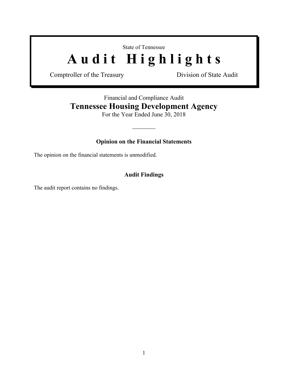State of Tennessee

# Audit Highlights

Comptroller of the Treasury Division of State Audit

## Financial and Compliance Audit **Tennessee Housing Development Agency**

For the Year Ended June 30, 2018

 $\frac{1}{2}$ 

## **Opinion on the Financial Statements**

The opinion on the financial statements is unmodified.

## **Audit Findings**

The audit report contains no findings.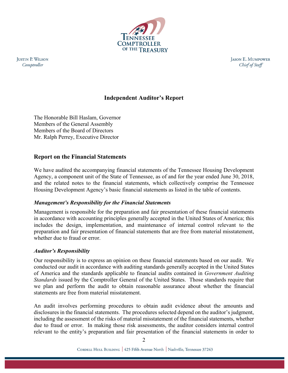

**JUSTIN P. WILSON** Comptroller

**JASON E. MUMPOWER** Chief of Staff

## **Independent Auditor's Report**

The Honorable Bill Haslam, Governor Members of the General Assembly Members of the Board of Directors Mr. Ralph Perrey, Executive Director

#### **Report on the Financial Statements**

We have audited the accompanying financial statements of the Tennessee Housing Development Agency, a component unit of the State of Tennessee, as of and for the year ended June 30, 2018, and the related notes to the financial statements, which collectively comprise the Tennessee Housing Development Agency's basic financial statements as listed in the table of contents.

#### *Management's Responsibility for the Financial Statements*

Management is responsible for the preparation and fair presentation of these financial statements in accordance with accounting principles generally accepted in the United States of America; this includes the design, implementation, and maintenance of internal control relevant to the preparation and fair presentation of financial statements that are free from material misstatement, whether due to fraud or error.

#### *Auditor's Responsibility*

Our responsibility is to express an opinion on these financial statements based on our audit. We conducted our audit in accordance with auditing standards generally accepted in the United States of America and the standards applicable to financial audits contained in *Government Auditing Standards* issued by the Comptroller General of the United States. Those standards require that we plan and perform the audit to obtain reasonable assurance about whether the financial statements are free from material misstatement.

An audit involves performing procedures to obtain audit evidence about the amounts and disclosures in the financial statements. The procedures selected depend on the auditor's judgment, including the assessment of the risks of material misstatement of the financial statements, whether due to fraud or error. In making those risk assessments, the auditor considers internal control relevant to the entity's preparation and fair presentation of the financial statements in order to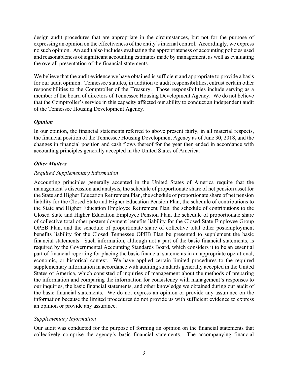design audit procedures that are appropriate in the circumstances, but not for the purpose of expressing an opinion on the effectiveness of the entity's internal control. Accordingly, we express no such opinion. An audit also includes evaluating the appropriateness of accounting policies used and reasonableness of significant accounting estimates made by management, as well as evaluating the overall presentation of the financial statements.

We believe that the audit evidence we have obtained is sufficient and appropriate to provide a basis for our audit opinion. Tennessee statutes, in addition to audit responsibilities, entrust certain other responsibilities to the Comptroller of the Treasury. Those responsibilities include serving as a member of the board of directors of Tennessee Housing Development Agency. We do not believe that the Comptroller's service in this capacity affected our ability to conduct an independent audit of the Tennessee Housing Development Agency.

#### *Opinion*

In our opinion, the financial statements referred to above present fairly, in all material respects, the financial position of the Tennessee Housing Development Agency as of June 30, 2018, and the changes in financial position and cash flows thereof for the year then ended in accordance with accounting principles generally accepted in the United States of America.

#### *Other Matters*

#### *Required Supplementary Information*

Accounting principles generally accepted in the United States of America require that the management's discussion and analysis, the schedule of proportionate share of net pension asset for the State and Higher Education Retirement Plan, the schedule of proportionate share of net pension liability for the Closed State and Higher Education Pension Plan, the schedule of contributions to the State and Higher Education Employee Retirement Plan, the schedule of contributions to the Closed State and Higher Education Employee Pension Plan, the schedule of proportionate share of collective total other postemployment benefits liability for the Closed State Employee Group OPEB Plan, and the schedule of proportionate share of collective total other postemployment benefits liability for the Closed Tennessee OPEB Plan be presented to supplement the basic financial statements. Such information, although not a part of the basic financial statements, is required by the Governmental Accounting Standards Board, which considers it to be an essential part of financial reporting for placing the basic financial statements in an appropriate operational, economic, or historical context. We have applied certain limited procedures to the required supplementary information in accordance with auditing standards generally accepted in the United States of America, which consisted of inquiries of management about the methods of preparing the information and comparing the information for consistency with management's responses to our inquiries, the basic financial statements, and other knowledge we obtained during our audit of the basic financial statements. We do not express an opinion or provide any assurance on the information because the limited procedures do not provide us with sufficient evidence to express an opinion or provide any assurance.

#### *Supplementary Information*

Our audit was conducted for the purpose of forming an opinion on the financial statements that collectively comprise the agency's basic financial statements. The accompanying financial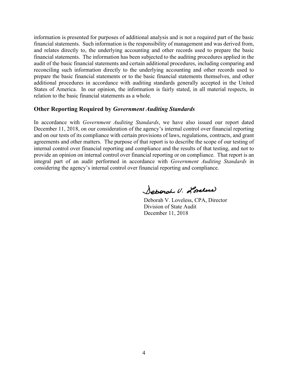information is presented for purposes of additional analysis and is not a required part of the basic financial statements. Such information is the responsibility of management and was derived from, and relates directly to, the underlying accounting and other records used to prepare the basic financial statements. The information has been subjected to the auditing procedures applied in the audit of the basic financial statements and certain additional procedures, including comparing and reconciling such information directly to the underlying accounting and other records used to prepare the basic financial statements or to the basic financial statements themselves, and other additional procedures in accordance with auditing standards generally accepted in the United States of America. In our opinion, the information is fairly stated, in all material respects, in relation to the basic financial statements as a whole.

#### **Other Reporting Required by** *Government Auditing Standards*

In accordance with *Government Auditing Standards*, we have also issued our report dated December 11, 2018, on our consideration of the agency's internal control over financial reporting and on our tests of its compliance with certain provisions of laws, regulations, contracts, and grant agreements and other matters. The purpose of that report is to describe the scope of our testing of internal control over financial reporting and compliance and the results of that testing, and not to provide an opinion on internal control over financial reporting or on compliance. That report is an integral part of an audit performed in accordance with *Government Auditing Standards* in considering the agency's internal control over financial reporting and compliance.

Separat U. Lorelian

 Deborah V. Loveless, CPA, Director Division of State Audit December 11, 2018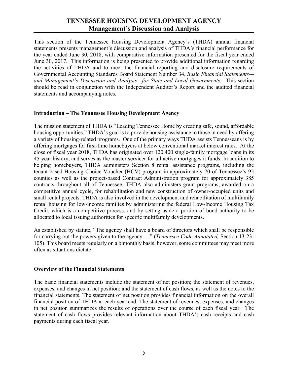## **TENNESSEE HOUSING DEVELOPMENT AGENCY Management's Discussion and Analysis**

This section of the Tennessee Housing Development Agency's (THDA) annual financial statements presents management's discussion and analysis of THDA's financial performance for the year ended June 30, 2018, with comparative information presented for the fiscal year ended June 30, 2017. This information is being presented to provide additional information regarding the activities of THDA and to meet the financial reporting and disclosure requirements of Governmental Accounting Standards Board Statement Number 34, *Basic Financial Statements and Management's Discussion and Analysis—for State and Local Governments.* This section should be read in conjunction with the Independent Auditor's Report and the audited financial statements and accompanying notes.

#### **Introduction – The Tennessee Housing Development Agency**

The mission statement of THDA is "Leading Tennessee Home by creating safe, sound, affordable housing opportunities." THDA's goal is to provide housing assistance to those in need by offering a variety of housing-related programs. One of the primary ways THDA assists Tennesseans is by offering mortgages for first-time homebuyers at below conventional market interest rates. At the close of fiscal year 2018, THDA has originated over 120,400 single-family mortgage loans in its 45-year history, and serves as the master servicer for all active mortgages it funds. In addition to helping homebuyers, THDA administers Section 8 rental assistance programs, including the tenant-based Housing Choice Voucher (HCV) program in approximately 70 of Tennessee's 95 counties as well as the project-based Contract Administration program for approximately 385 contracts throughout all of Tennessee. THDA also administers grant programs, awarded on a competitive annual cycle, for rehabilitation and new construction of owner-occupied units and small rental projects. THDA is also involved in the development and rehabilitation of multifamily rental housing for low-income families by administering the federal Low-Income Housing Tax Credit, which is a competitive process, and by setting aside a portion of bond authority to be allocated to local issuing authorities for specific multifamily developments.

As established by statute, "The agency shall have a board of directors which shall be responsible for carrying out the powers given to the agency. . ." (*Tennessee Code Annotated,* Section 13-23- 105). This board meets regularly on a bimonthly basis; however, some committees may meet more often as situations dictate.

#### **Overview of the Financial Statements**

The basic financial statements include the statement of net position; the statement of revenues, expenses, and changes in net position; and the statement of cash flows, as well as the notes to the financial statements. The statement of net position provides financial information on the overall financial position of THDA at each year end. The statement of revenues, expenses, and changes in net position summarizes the results of operations over the course of each fiscal year. The statement of cash flows provides relevant information about THDA's cash receipts and cash payments during each fiscal year.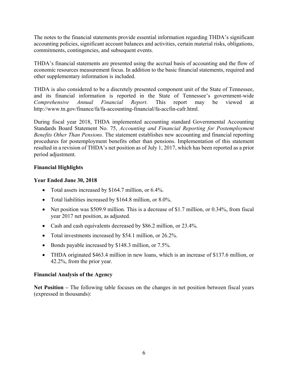The notes to the financial statements provide essential information regarding THDA's significant accounting policies, significant account balances and activities, certain material risks, obligations, commitments, contingencies, and subsequent events.

THDA's financial statements are presented using the accrual basis of accounting and the flow of economic resources measurement focus. In addition to the basic financial statements, required and other supplementary information is included.

THDA is also considered to be a discretely presented component unit of the State of Tennessee, and its financial information is reported in the State of Tennessee's government-wide *Comprehensive Annual Financial Report*. This report may be viewed at [http://www.tn.gov/finance/fa/fa-accounting-financial/fa-accfin-cafr.html.](http://www.tn.gov/finance/fa/fa-accounting-financial/fa-accfin-cafr.html) 

During fiscal year 2018, THDA implemented accounting standard Governmental Accounting Standards Board Statement No. 75, *Accounting and Financial Reporting for Postemployment Benefits Other Than Pensions*. The statement establishes new accounting and financial reporting procedures for postemployment benefits other than pensions. Implementation of this statement resulted in a revision of THDA's net position as of July 1, 2017, which has been reported as a prior period adjustment.

#### **Financial Highlights**

#### **Year Ended June 30, 2018**

- Total assets increased by \$164.7 million, or 6.4%.
- Total liabilities increased by \$164.8 million, or 8.0%.
- Net position was \$509.9 million. This is a decrease of \$1.7 million, or 0.34%, from fiscal year 2017 net position, as adjusted.
- Cash and cash equivalents decreased by \$86.2 million, or 23.4%.
- Total investments increased by \$54.1 million, or 26.2%.
- Bonds payable increased by \$148.3 million, or 7.5%.
- THDA originated \$463.4 million in new loans, which is an increase of \$137.6 million, or 42.2%, from the prior year.

#### **Financial Analysis of the Agency**

Net Position – The following table focuses on the changes in net position between fiscal years (expressed in thousands):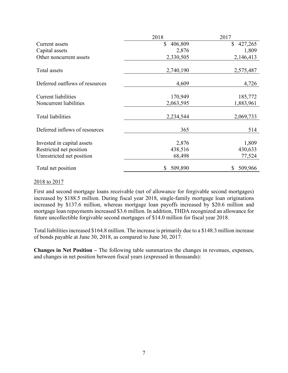|                                | 2018          | 2017          |
|--------------------------------|---------------|---------------|
| Current assets                 | \$<br>406,809 | \$<br>427,265 |
| Capital assets                 | 2,876         | 1,809         |
| Other noncurrent assets        | 2,330,505     | 2,146,413     |
| Total assets                   | 2,740,190     | 2,575,487     |
| Deferred outflows of resources | 4,609         | 4,726         |
| <b>Current liabilities</b>     | 170,949       | 185,772       |
| Noncurrent liabilities         | 2,063,595     | 1,883,961     |
| <b>Total liabilities</b>       | 2,234,544     | 2,069,733     |
| Deferred inflows of resources  | 365           | 514           |
| Invested in capital assets     | 2,876         | 1,809         |
| Restricted net position        | 438,516       | 430,633       |
| Unrestricted net position      | 68,498        | 77,524        |
| Total net position             | 509,890       | 509,966       |

#### 2018 to 2017

First and second mortgage loans receivable (net of allowance for forgivable second mortgages) increased by \$188.5 million. During fiscal year 2018, single-family mortgage loan originations increased by \$137.6 million, whereas mortgage loan payoffs increased by \$20.6 million and mortgage loan repayments increased \$3.6 million. In addition, THDA recognized an allowance for future uncollectible forgivable second mortgages of \$14.0 million for fiscal year 2018.

Total liabilities increased \$164.8 million. The increase is primarily due to a \$148.3 million increase of bonds payable at June 30, 2018, as compared to June 30, 2017.

**Changes in Net Position –** The following table summarizes the changes in revenues, expenses, and changes in net position between fiscal years (expressed in thousands):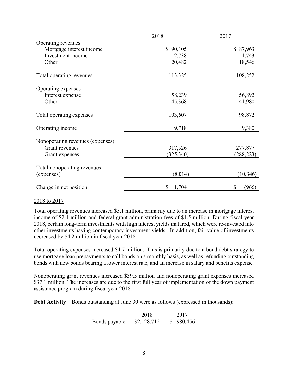|                                  | 2018        | 2017        |
|----------------------------------|-------------|-------------|
| Operating revenues               |             |             |
| Mortgage interest income         | \$90,105    | \$87,963    |
| Investment income                | 2,738       | 1,743       |
| Other                            | 20,482      | 18,546      |
| Total operating revenues         | 113,325     | 108,252     |
| Operating expenses               |             |             |
| Interest expense                 | 58,239      | 56,892      |
| Other                            | 45,368      | 41,980      |
| Total operating expenses         | 103,607     | 98,872      |
| Operating income                 | 9,718       | 9,380       |
| Nonoperating revenues (expenses) |             |             |
| Grant revenues                   | 317,326     | 277,877     |
| Grant expenses                   | (325, 340)  | (288, 223)  |
| Total nonoperating revenues      |             |             |
| (expenses)                       | (8,014)     | (10, 346)   |
| Change in net position           | 1,704<br>\$ | \$<br>(966) |

#### 2018 to 2017

Total operating revenues increased \$5.1 million, primarily due to an increase in mortgage interest income of \$2.1 million and federal grant administration fees of \$1.5 million. During fiscal year 2018, certain long-term investments with high interest yields matured, which were re-invested into other investments having contemporary investment yields. In addition, fair value of investments decreased by \$4.2 million in fiscal year 2018.

Total operating expenses increased \$4.7 million. This is primarily due to a bond debt strategy to use mortgage loan prepayments to call bonds on a monthly basis, as well as refunding outstanding bonds with new bonds bearing a lower interest rate, and an increase in salary and benefits expense.

Nonoperating grant revenues increased \$39.5 million and nonoperating grant expenses increased \$37.1 million. The increases are due to the first full year of implementation of the down payment assistance program during fiscal year 2018.

**Debt Activity** – Bonds outstanding at June 30 were as follows (expressed in thousands):

$$
32,128,712
$$
\n
$$
32,128,712
$$
\n
$$
31,980,456
$$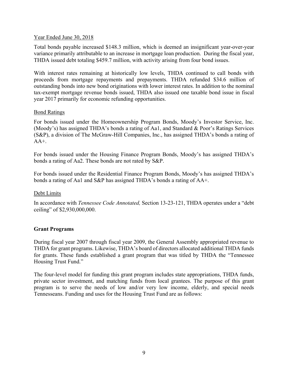#### Year Ended June 30, 2018

Total bonds payable increased \$148.3 million, which is deemed an insignificant year-over-year variance primarily attributable to an increase in mortgage loan production. During the fiscal year, THDA issued debt totaling \$459.7 million, with activity arising from four bond issues.

With interest rates remaining at historically low levels, THDA continued to call bonds with proceeds from mortgage repayments and prepayments. THDA refunded \$34.6 million of outstanding bonds into new bond originations with lower interest rates. In addition to the nominal tax-exempt mortgage revenue bonds issued, THDA also issued one taxable bond issue in fiscal year 2017 primarily for economic refunding opportunities.

#### Bond Ratings

For bonds issued under the Homeownership Program Bonds, Moody's Investor Service, Inc. (Moody's) has assigned THDA's bonds a rating of Aa1, and Standard & Poor's Ratings Services (S&P), a division of The McGraw-Hill Companies, Inc., has assigned THDA's bonds a rating of  $AA^+$ .

For bonds issued under the Housing Finance Program Bonds, Moody's has assigned THDA's bonds a rating of Aa2. These bonds are not rated by S&P.

For bonds issued under the Residential Finance Program Bonds, Moody's has assigned THDA's bonds a rating of Aa1 and S&P has assigned THDA's bonds a rating of AA+.

#### Debt Limits

In accordance with *Tennessee Code Annotated,* Section 13-23-121, THDA operates under a "debt ceiling" of \$2,930,000,000.

#### **Grant Programs**

During fiscal year 2007 through fiscal year 2009, the General Assembly appropriated revenue to THDA for grant programs. Likewise, THDA's board of directors allocated additional THDA funds for grants. These funds established a grant program that was titled by THDA the "Tennessee Housing Trust Fund."

The four-level model for funding this grant program includes state appropriations, THDA funds, private sector investment, and matching funds from local grantees. The purpose of this grant program is to serve the needs of low and/or very low income, elderly, and special needs Tennesseans. Funding and uses for the Housing Trust Fund are as follows: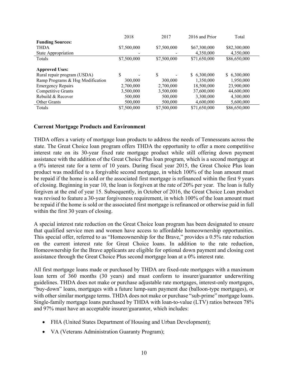|                                  | 2018        | 2017          | 2016 and Prior | Total        |
|----------------------------------|-------------|---------------|----------------|--------------|
| <b>Funding Sources:</b>          |             |               |                |              |
| THDA                             | \$7,500,000 | \$7,500,000   | \$67,300,000   | \$82,300,000 |
| State Appropriation              |             |               | 4,350,000      | 4,350,000    |
| Totals                           | \$7,500,000 | \$7,500,000   | \$71,650,000   | \$86,650,000 |
|                                  |             |               |                |              |
| <b>Approved Uses:</b>            |             |               |                |              |
| Rural repair program (USDA)      | \$          | <sup>\$</sup> | \$6,300,000    | \$6,300,000  |
| Ramp Programs & Hsg Modification | 300,000     | 300,000       | 1,350,000      | 1,950,000    |
| <b>Emergency Repairs</b>         | 2,700,000   | 2,700,000     | 18,500,000     | 23,900,000   |
| Competitive Grants               | 3,500,000   | 3,500,000     | 37,600,000     | 44,600,000   |
| Rebuild & Recover                | 500,000     | 500,000       | 3,300,000      | 4.300,000    |
| <b>Other Grants</b>              | 500,000     | 500,000       | 4,600,000      | 5,600,000    |
| Totals                           | \$7,500,000 | \$7,500,000   | \$71,650,000   | \$86,650,000 |

#### **Current Mortgage Products and Environment**

THDA offers a variety of mortgage loan products to address the needs of Tennesseans across the state. The Great Choice loan program offers THDA the opportunity to offer a more competitive interest rate on its 30-year fixed rate mortgage product while still offering down payment assistance with the addition of the Great Choice Plus loan program, which is a second mortgage at a 0% interest rate for a term of 10 years. During fiscal year 2015, the Great Choice Plus loan product was modified to a forgivable second mortgage, in which 100% of the loan amount must be repaid if the home is sold or the associated first mortgage is refinanced within the first 9 years of closing. Beginning in year 10, the loan is forgiven at the rate of 20% per year. The loan is fully forgiven at the end of year 15. Subsequently, in October of 2016, the Great Choice Loan product was revised to feature a 30-year forgiveness requirement, in which 100% of the loan amount must be repaid if the home is sold or the associated first mortgage is refinanced or otherwise paid in full within the first 30 years of closing.

A special interest rate reduction on the Great Choice loan program has been designated to ensure that qualified service men and women have access to affordable homeownership opportunities. This special offer, referred to as "Homeownership for the Brave," provides a 0.5% rate reduction on the current interest rate for Great Choice loans. In addition to the rate reduction, Homeownership for the Brave applicants are eligible for optional down payment and closing cost assistance through the Great Choice Plus second mortgage loan at a 0% interest rate.

All first mortgage loans made or purchased by THDA are fixed-rate mortgages with a maximum loan term of 360 months (30 years) and must conform to insurer/guarantor underwriting guidelines. THDA does not make or purchase adjustable rate mortgages, interest-only mortgages, "buy-down" loans, mortgages with a future lump-sum payment due (balloon-type mortgages), or with other similar mortgage terms. THDA does not make or purchase "sub-prime" mortgage loans. Single-family mortgage loans purchased by THDA with loan-to-value (LTV) ratios between 78% and 97% must have an acceptable insurer/guarantor, which includes:

- FHA (United States Department of Housing and Urban Development);
- VA (Veterans Administration Guaranty Program);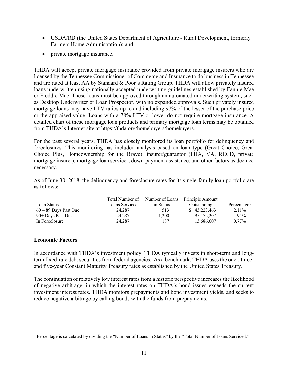- USDA/RD (the United States Department of Agriculture Rural Development, formerly Farmers Home Administration); and
- private mortgage insurance.

THDA will accept private mortgage insurance provided from private mortgage insurers who are licensed by the Tennessee Commissioner of Commerce and Insurance to do business in Tennessee and are rated at least AA by Standard & Poor's Rating Group. THDA will allow privately insured loans underwritten using nationally accepted underwriting guidelines established by Fannie Mae or Freddie Mac. These loans must be approved through an automated underwriting system, such as Desktop Underwriter or Loan Prospector, with no expanded approvals. Such privately insured mortgage loans may have LTV ratios up to and including 97% of the lesser of the purchase price or the appraised value. Loans with a 78% LTV or lower do not require mortgage insurance. A detailed chart of these mortgage loan products and primary mortgage loan terms may be obtained from THDA's Internet site at [https://thda.org/homebuyers/homebuyers.](https://thda.org/homebuyers/homebuyers) 

For the past several years, THDA has closely monitored its loan portfolio for delinquency and foreclosures. This monitoring has included analysis based on loan type (Great Choice, Great Choice Plus, Homeownership for the Brave); insurer/guarantor (FHA, VA, RECD, private mortgage insurer); mortgage loan servicer; down-payment assistance; and other factors as deemed necessary.

As of June 30, 2018, the delinquency and foreclosure rates for its single-family loan portfolio are as follows:

|                         | Total Number of | Number of Loans | Principle Amount         |                         |
|-------------------------|-----------------|-----------------|--------------------------|-------------------------|
| Loan Status             | Loans Serviced  | in Status       | Outstanding              | Percentage <sup>1</sup> |
| $60 - 89$ Days Past Due | 24.287          | 513             | $\frac{1}{2}$ 43.223.463 | $2.11\%$                |
| 90+ Days Past Due       | 24,287          | .,200           | 95,172,207               | 4.94%                   |
| In Foreclosure          | 24,287          | 187             | 13,686,607               | $0.77\%$                |

#### **Economic Factors**

 $\overline{a}$ 

In accordance with THDA's investment policy, THDA typically invests in short-term and longterm fixed-rate debt securities from federal agencies. As a benchmark, THDA uses the one-, threeand five-year Constant Maturity Treasury rates as established by the United States Treasury.

The continuation of relatively low interest rates from a historic perspective increases the likelihood of negative arbitrage, in which the interest rates on THDA's bond issues exceeds the current investment interest rates. THDA monitors prepayments and bond investment yields, and seeks to reduce negative arbitrage by calling bonds with the funds from prepayments.

<sup>1</sup> Percentage is calculated by dividing the "Number of Loans in Status" by the "Total Number of Loans Serviced."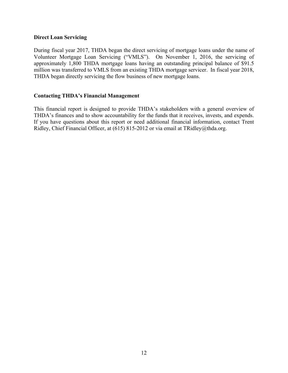#### **Direct Loan Servicing**

During fiscal year 2017, THDA began the direct servicing of mortgage loans under the name of Volunteer Mortgage Loan Servicing ("VMLS"). On November 1, 2016, the servicing of approximately 1,800 THDA mortgage loans having an outstanding principal balance of \$91.5 million was transferred to VMLS from an existing THDA mortgage servicer. In fiscal year 2018, THDA began directly servicing the flow business of new mortgage loans.

#### **Contacting THDA's Financial Management**

This financial report is designed to provide THDA's stakeholders with a general overview of THDA's finances and to show accountability for the funds that it receives, invests, and expends. If you have questions about this report or need additional financial information, contact Trent Ridley, Chief Financial Officer, at (615) 815-2012 or via email at [TRidley@thda.org.](mailto:TRidley@thda.org)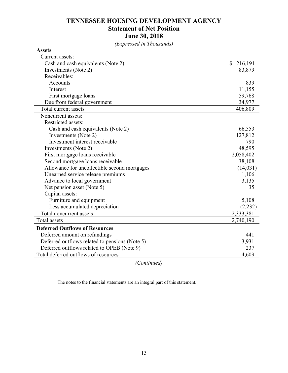## **TENNESSEE HOUSING DEVELOPMENT AGENCY Statement of Net Position**

**June 30, 2018** 

| (Expressed in Thousands)                       |               |
|------------------------------------------------|---------------|
| <b>Assets</b>                                  |               |
| Current assets:                                |               |
| Cash and cash equivalents (Note 2)             | 216,191<br>\$ |
| Investments (Note 2)                           | 83,879        |
| Receivables:                                   |               |
| Accounts                                       | 839           |
| Interest                                       | 11,155        |
| First mortgage loans                           | 59,768        |
| Due from federal government                    | 34,977        |
| Total current assets                           | 406,809       |
| Noncurrent assets:                             |               |
| <b>Restricted assets:</b>                      |               |
| Cash and cash equivalents (Note 2)             | 66,553        |
| Investments (Note 2)                           | 127,812       |
| Investment interest receivable                 | 790           |
| Investments (Note 2)                           | 48,595        |
| First mortgage loans receivable                | 2,058,402     |
| Second mortgage loans receivable               | 38,108        |
| Allowance for uncollectible second mortgages   | (14, 031)     |
| Unearned service release premiums              | 1,106         |
| Advance to local government                    | 3,135         |
| Net pension asset (Note 5)                     | 35            |
| Capital assets:                                |               |
| Furniture and equipment                        | 5,108         |
| Less accumulated depreciation                  | (2, 232)      |
| Total noncurrent assets                        | 2,333,381     |
| Total assets                                   | 2,740,190     |
| <b>Deferred Outflows of Resources</b>          |               |
| Deferred amount on refundings                  | 441           |
| Deferred outflows related to pensions (Note 5) | 3,931         |
| Deferred outflows related to OPEB (Note 9)     | 237           |
| Total deferred outflows of resources           | 4,609         |

*(Continued)*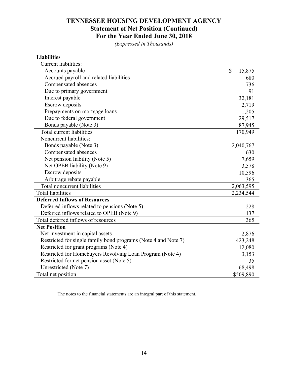## **TENNESSEE HOUSING DEVELOPMENT AGENCY Statement of Net Position (Continued) For the Year Ended June 30, 2018**

*(Expressed in Thousands)* 

| <b>Liabilities</b>                                             |                        |
|----------------------------------------------------------------|------------------------|
| Current liabilities:                                           |                        |
| Accounts payable                                               | $\mathbb{S}$<br>15,875 |
| Accrued payroll and related liabilities                        | 680                    |
| Compensated absences                                           | 736                    |
| Due to primary government                                      | 91                     |
| Interest payable                                               | 32,181                 |
| <b>Escrow</b> deposits                                         | 2,719                  |
| Prepayments on mortgage loans                                  | 1,205                  |
| Due to federal government                                      | 29,517                 |
| Bonds payable (Note 3)                                         | 87,945                 |
| Total current liabilities                                      | 170,949                |
| Noncurrent liabilities:                                        |                        |
| Bonds payable (Note 3)                                         | 2,040,767              |
| Compensated absences                                           | 630                    |
| Net pension liability (Note 5)                                 | 7,659                  |
| Net OPEB liability (Note 9)                                    | 3,578                  |
| <b>Escrow</b> deposits                                         | 10,596                 |
| Arbitrage rebate payable                                       | 365                    |
| Total noncurrent liabilities                                   | 2,063,595              |
| <b>Total liabilities</b>                                       | 2,234,544              |
| <b>Deferred Inflows of Resources</b>                           |                        |
| Deferred inflows related to pensions (Note 5)                  | 228                    |
| Deferred inflows related to OPEB (Note 9)                      | 137                    |
| Total deferred inflows of resources                            | 365                    |
| <b>Net Position</b>                                            |                        |
| Net investment in capital assets                               | 2,876                  |
| Restricted for single family bond programs (Note 4 and Note 7) | 423,248                |
| Restricted for grant programs (Note 4)                         | 12,080                 |
| Restricted for Homebuyers Revolving Loan Program (Note 4)      | 3,153                  |
| Restricted for net pension asset (Note 5)                      | 35                     |
| Unrestricted (Note 7)                                          | 68,498                 |
| Total net position                                             | \$509,890              |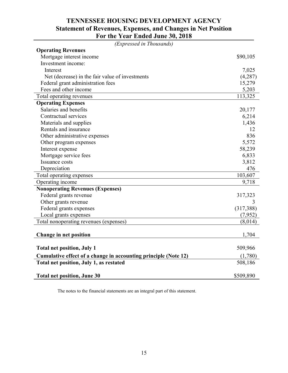## **TENNESSEE HOUSING DEVELOPMENT AGENCY Statement of Revenues, Expenses, and Changes in Net Position For the Year Ended June 30, 2018**

| 1 cal Engea Gane Do, 2010<br>(Expressed in Thousands)           |            |
|-----------------------------------------------------------------|------------|
| <b>Operating Revenues</b>                                       |            |
| Mortgage interest income                                        | \$90,105   |
| Investment income:                                              |            |
| Interest                                                        | 7,025      |
| Net (decrease) in the fair value of investments                 | (4,287)    |
| Federal grant administration fees                               | 15,279     |
| Fees and other income                                           | 5,203      |
| Total operating revenues                                        | 113,325    |
| <b>Operating Expenses</b>                                       |            |
| Salaries and benefits                                           | 20,177     |
| Contractual services                                            | 6,214      |
| Materials and supplies                                          | 1,436      |
| Rentals and insurance                                           | 12         |
| Other administrative expenses                                   | 836        |
| Other program expenses                                          | 5,572      |
| Interest expense                                                | 58,239     |
| Mortgage service fees                                           | 6,833      |
| Issuance costs                                                  | 3,812      |
| Depreciation                                                    | 476        |
| Total operating expenses                                        | 103,607    |
| Operating income                                                | 9,718      |
| <b>Nonoperating Revenues (Expenses)</b>                         |            |
| Federal grants revenue                                          | 317,323    |
| Other grants revenue                                            |            |
| Federal grants expenses                                         | (317, 388) |
| Local grants expenses                                           | (7,952)    |
| Total nonoperating revenues (expenses)                          | (8,014)    |
| <b>Change in net position</b>                                   | 1,704      |
| <b>Total net position, July 1</b>                               | 509,966    |
| Cumulative effect of a change in accounting principle (Note 12) | (1,780)    |
| Total net position, July 1, as restated                         | 508,186    |
| <b>Total net position, June 30</b>                              | \$509,890  |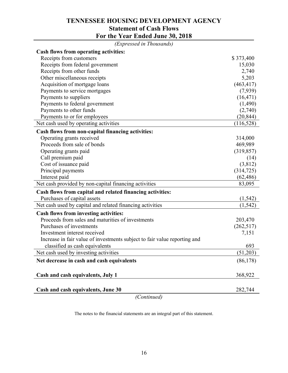## **TENNESSEE HOUSING DEVELOPMENT AGENCY Statement of Cash Flows**

**For the Year Ended June 30, 2018**  *(Expressed in Thousands)* 

| (Lappesseu in Inousumus)                                                  |            |
|---------------------------------------------------------------------------|------------|
| <b>Cash flows from operating activities:</b>                              |            |
| Receipts from customers                                                   | \$373,400  |
| Receipts from federal government                                          | 15,030     |
| Receipts from other funds                                                 | 2,740      |
| Other miscellaneous receipts                                              | 5,203      |
| Acquisition of mortgage loans                                             | (463, 417) |
| Payments to service mortgages                                             | (7,939)    |
| Payments to suppliers                                                     | (16, 471)  |
| Payments to federal government                                            | (1,490)    |
| Payments to other funds                                                   | (2,740)    |
| Payments to or for employees                                              | (20, 844)  |
| Net cash used by operating activities                                     | (116,528)  |
| Cash flows from non-capital financing activities:                         |            |
| Operating grants received                                                 | 314,000    |
| Proceeds from sale of bonds                                               | 469,989    |
| Operating grants paid                                                     | (319, 857) |
| Call premium paid                                                         | (14)       |
| Cost of issuance paid                                                     | (3,812)    |
| Principal payments                                                        | (314, 725) |
| Interest paid                                                             | (62, 486)  |
| Net cash provided by non-capital financing activities                     | 83,095     |
| Cash flows from capital and related financing activities:                 |            |
| Purchases of capital assets                                               | (1, 542)   |
| Net cash used by capital and related financing activities                 | (1, 542)   |
| <b>Cash flows from investing activities:</b>                              |            |
| Proceeds from sales and maturities of investments                         | 203,470    |
| Purchases of investments                                                  | (262,517)  |
| Investment interest received                                              | 7,151      |
| Increase in fair value of investments subject to fair value reporting and |            |
| classified as cash equivalents                                            | 693        |
| Net cash used by investing activities                                     | (51,203)   |
| Net decrease in cash and cash equivalents                                 | (86,178)   |
|                                                                           |            |
| Cash and cash equivalents, July 1                                         | 368,922    |
| Cash and cash equivalents, June 30                                        | 282,744    |

*(Continued)*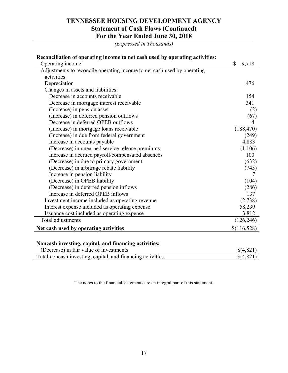## **TENNESSEE HOUSING DEVELOPMENT AGENCY Statement of Cash Flows (Continued) For the Year Ended June 30, 2018**

*(Expressed in Thousands)* 

| Reconciliation of operating income to net cash used by operating activities: |                       |
|------------------------------------------------------------------------------|-----------------------|
| Operating income                                                             | 9,718<br>$\mathbb{S}$ |
| Adjustments to reconcile operating income to net cash used by operating      |                       |
| activities:                                                                  |                       |
| Depreciation                                                                 | 476                   |
| Changes in assets and liabilities:                                           |                       |
| Decrease in accounts receivable                                              | 154                   |
| Decrease in mortgage interest receivable                                     | 341                   |
| (Increase) in pension asset                                                  | (2)                   |
| (Increase) in deferred pension outflows                                      | (67)                  |
| Decrease in deferred OPEB outflows                                           | 4                     |
| (Increase) in mortgage loans receivable                                      | (188, 470)            |
| (Increase) in due from federal government                                    | (249)                 |
| Increase in accounts payable                                                 | 4,883                 |
| (Decrease) in unearned service release premiums                              | (1,106)               |
| Increase in accrued payroll/compensated absences                             | 100                   |
| (Decrease) in due to primary government                                      | (632)                 |
| (Decrease) in arbitrage rebate liability                                     | (745)                 |
| Increase in pension liability                                                | 7                     |
| (Decrease) in OPEB liability                                                 | (104)                 |
| (Decrease) in deferred pension inflows                                       | (286)                 |
| Increase in deferred OPEB inflows                                            | 137                   |
| Investment income included as operating revenue                              | (2,738)               |
| Interest expense included as operating expense                               | 58,239                |
| Issuance cost included as operating expense                                  | 3,812                 |
| Total adjustments                                                            | (126, 246)            |
| Net cash used by operating activities                                        | \$(116,528)           |
|                                                                              |                       |
| Noncash investing, capital, and financing activities:                        |                       |
| (Decrease) in fair value of investments                                      | \$(4,821)             |
| Total noncash investing, capital, and financing activities                   | \$(4,821)             |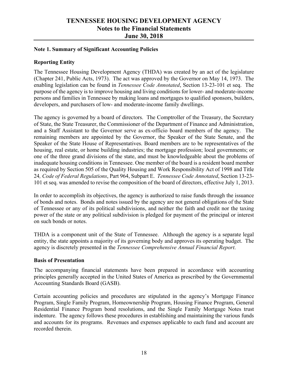#### **TENNESSEE HOUSING DEVELOPMENT AGENCY Notes to the Financial Statements June 30, 2018**

#### **Note 1. Summary of Significant Accounting Policies**

#### **Reporting Entity**

The Tennessee Housing Development Agency (THDA) was created by an act of the legislature (Chapter 241, Public Acts, 1973). The act was approved by the Governor on May 14, 1973. The enabling legislation can be found in *Tennessee Code Annotated*, Section 13-23-101 et seq. The purpose of the agency is to improve housing and living conditions for lower- and moderate-income persons and families in Tennessee by making loans and mortgages to qualified sponsors, builders, developers, and purchasers of low- and moderate-income family dwellings.

The agency is governed by a board of directors. The Comptroller of the Treasury, the Secretary of State, the State Treasurer, the Commissioner of the Department of Finance and Administration, and a Staff Assistant to the Governor serve as ex-officio board members of the agency. The remaining members are appointed by the Governor, the Speaker of the State Senate, and the Speaker of the State House of Representatives. Board members are to be representatives of the housing, real estate, or home building industries; the mortgage profession; local governments; or one of the three grand divisions of the state, and must be knowledgeable about the problems of inadequate housing conditions in Tennessee. One member of the board is a resident board member as required by Section 505 of the Quality Housing and Work Responsibility Act of 1998 and Title 24*, Code of Federal Regulations*, Part 964, Subpart E. *Tennessee Code Annotated*, Section 13-23- 101 et seq. was amended to revise the composition of the board of directors, effective July 1, 2013.

In order to accomplish its objectives, the agency is authorized to raise funds through the issuance of bonds and notes. Bonds and notes issued by the agency are not general obligations of the State of Tennessee or any of its political subdivisions, and neither the faith and credit nor the taxing power of the state or any political subdivision is pledged for payment of the principal or interest on such bonds or notes.

THDA is a component unit of the State of Tennessee. Although the agency is a separate legal entity, the state appoints a majority of its governing body and approves its operating budget. The agency is discretely presented in the *Tennessee Comprehensive Annual Financial Report*.

#### **Basis of Presentation**

The accompanying financial statements have been prepared in accordance with accounting principles generally accepted in the United States of America as prescribed by the Governmental Accounting Standards Board (GASB).

Certain accounting policies and procedures are stipulated in the agency's Mortgage Finance Program, Single Family Program, Homeownership Program, Housing Finance Program, General Residential Finance Program bond resolutions, and the Single Family Mortgage Notes trust indenture. The agency follows these procedures in establishing and maintaining the various funds and accounts for its programs. Revenues and expenses applicable to each fund and account are recorded therein.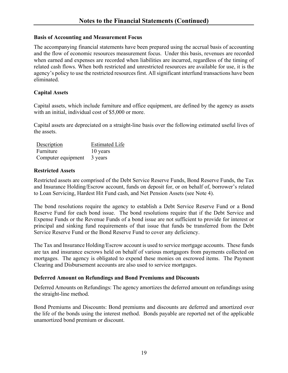#### **Basis of Accounting and Measurement Focus**

The accompanying financial statements have been prepared using the accrual basis of accounting and the flow of economic resources measurement focus. Under this basis, revenues are recorded when earned and expenses are recorded when liabilities are incurred, regardless of the timing of related cash flows. When both restricted and unrestricted resources are available for use, it is the agency's policy to use the restricted resources first. All significant interfund transactions have been eliminated.

#### **Capital Assets**

Capital assets, which include furniture and office equipment, are defined by the agency as assets with an initial, individual cost of \$5,000 or more.

Capital assets are depreciated on a straight-line basis over the following estimated useful lives of the assets.

| Description                | <b>Estimated Life</b> |
|----------------------------|-----------------------|
| Furniture                  | 10 years              |
| Computer equipment 3 years |                       |

#### **Restricted Assets**

Restricted assets are comprised of the Debt Service Reserve Funds, Bond Reserve Funds, the Tax and Insurance Holding/Escrow account, funds on deposit for, or on behalf of, borrower's related to Loan Servicing, Hardest Hit Fund cash, and Net Pension Assets (see Note 4).

The bond resolutions require the agency to establish a Debt Service Reserve Fund or a Bond Reserve Fund for each bond issue. The bond resolutions require that if the Debt Service and Expense Funds or the Revenue Funds of a bond issue are not sufficient to provide for interest or principal and sinking fund requirements of that issue that funds be transferred from the Debt Service Reserve Fund or the Bond Reserve Fund to cover any deficiency.

The Tax and Insurance Holding/Escrow account is used to service mortgage accounts. These funds are tax and insurance escrows held on behalf of various mortgagors from payments collected on mortgages. The agency is obligated to expend these monies on escrowed items. The Payment Clearing and Disbursement accounts are also used to service mortgages.

#### **Deferred Amount on Refundings and Bond Premiums and Discounts**

Deferred Amounts on Refundings: The agency amortizes the deferred amount on refundings using the straight-line method.

Bond Premiums and Discounts: Bond premiums and discounts are deferred and amortized over the life of the bonds using the interest method. Bonds payable are reported net of the applicable unamortized bond premium or discount.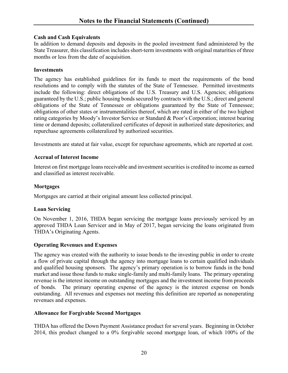#### **Cash and Cash Equivalents**

In addition to demand deposits and deposits in the pooled investment fund administered by the State Treasurer, this classification includes short-term investments with original maturities of three months or less from the date of acquisition.

#### **Investments**

The agency has established guidelines for its funds to meet the requirements of the bond resolutions and to comply with the statutes of the State of Tennessee. Permitted investments include the following: direct obligations of the U.S. Treasury and U.S. Agencies; obligations guaranteed by the U.S.; public housing bonds secured by contracts with the U.S.; direct and general obligations of the State of Tennessee or obligations guaranteed by the State of Tennessee; obligations of other states or instrumentalities thereof, which are rated in either of the two highest rating categories by Moody's Investor Service or Standard & Poor's Corporation; interest bearing time or demand deposits; collateralized certificates of deposit in authorized state depositories; and repurchase agreements collateralized by authorized securities.

Investments are stated at fair value, except for repurchase agreements, which are reported at cost.

#### **Accrual of Interest Income**

Interest on first mortgage loans receivable and investment securities is credited to income as earned and classified as interest receivable.

#### **Mortgages**

Mortgages are carried at their original amount less collected principal.

#### **Loan Servicing**

On November 1, 2016, THDA began servicing the mortgage loans previously serviced by an approved THDA Loan Servicer and in May of 2017, began servicing the loans originated from THDA's Originating Agents.

#### **Operating Revenues and Expenses**

The agency was created with the authority to issue bonds to the investing public in order to create a flow of private capital through the agency into mortgage loans to certain qualified individuals and qualified housing sponsors. The agency's primary operation is to borrow funds in the bond market and issue those funds to make single-family and multi-family loans. The primary operating revenue is the interest income on outstanding mortgages and the investment income from proceeds of bonds. The primary operating expense of the agency is the interest expense on bonds outstanding. All revenues and expenses not meeting this definition are reported as nonoperating revenues and expenses.

#### **Allowance for Forgivable Second Mortgages**

THDA has offered the Down Payment Assistance product for several years. Beginning in October 2014, this product changed to a 0% forgivable second mortgage loan, of which 100% of the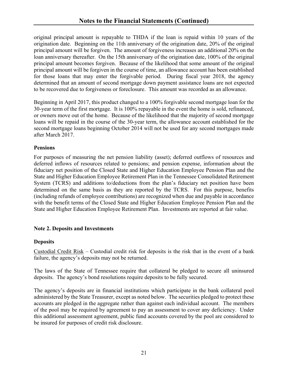original principal amount is repayable to THDA if the loan is repaid within 10 years of the origination date. Beginning on the 11th anniversary of the origination date, 20% of the original principal amount will be forgiven. The amount of forgiveness increases an additional 20% on the loan anniversary thereafter. On the 15th anniversary of the origination date, 100% of the original principal amount becomes forgiven. Because of the likelihood that some amount of the original principal amount will be forgiven in the course of time, an allowance account has been established for those loans that may enter the forgivable period. During fiscal year 2018, the agency determined that an amount of second mortgage down payment assistance loans are not expected to be recovered due to forgiveness or foreclosure. This amount was recorded as an allowance.

Beginning in April 2017, this product changed to a 100% forgivable second mortgage loan for the 30-year term of the first mortgage. It is 100% repayable in the event the home is sold, refinanced, or owners move out of the home. Because of the likelihood that the majority of second mortgage loans will be repaid in the course of the 30-year term, the allowance account established for the second mortgage loans beginning October 2014 will not be used for any second mortgages made after March 2017.

#### **Pensions**

For purposes of measuring the net pension liability (asset); deferred outflows of resources and deferred inflows of resources related to pensions; and pension expense, information about the fiduciary net position of the Closed State and Higher Education Employee Pension Plan and the State and Higher Education Employee Retirement Plan in the Tennessee Consolidated Retirement System (TCRS) and additions to/deductions from the plan's fiduciary net position have been determined on the same basis as they are reported by the TCRS. For this purpose, benefits (including refunds of employee contributions) are recognized when due and payable in accordance with the benefit terms of the Closed State and Higher Education Employee Pension Plan and the State and Higher Education Employee Retirement Plan. Investments are reported at fair value.

#### **Note 2. Deposits and Investments**

#### **Deposits**

Custodial Credit Risk – Custodial credit risk for deposits is the risk that in the event of a bank failure, the agency's deposits may not be returned.

The laws of the State of Tennessee require that collateral be pledged to secure all uninsured deposits. The agency's bond resolutions require deposits to be fully secured.

The agency's deposits are in financial institutions which participate in the bank collateral pool administered by the State Treasurer, except as noted below. The securities pledged to protect these accounts are pledged in the aggregate rather than against each individual account. The members of the pool may be required by agreement to pay an assessment to cover any deficiency. Under this additional assessment agreement, public fund accounts covered by the pool are considered to be insured for purposes of credit risk disclosure.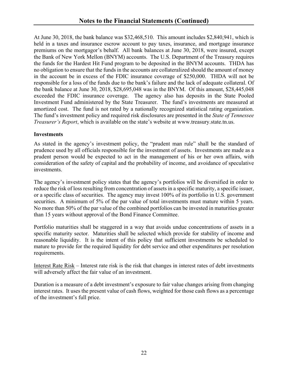At June 30, 2018, the bank balance was \$32,468,510. This amount includes \$2,840,941, which is held in a taxes and insurance escrow account to pay taxes, insurance, and mortgage insurance premiums on the mortgagor's behalf. All bank balances at June 30, 2018, were insured, except the Bank of New York Mellon (BNYM) accounts. The U.S. Department of the Treasury requires the funds for the Hardest Hit Fund program to be deposited in the BNYM accounts. THDA has no obligation to ensure that the funds in the accounts are collateralized should the amount of money in the account be in excess of the FDIC insurance coverage of \$250,000. THDA will not be responsible for a loss of the funds due to the bank's failure and the lack of adequate collateral. Of the bank balance at June 30, 2018, \$28,695,048 was in the BNYM. Of this amount, \$28,445,048 exceeded the FDIC insurance coverage. The agency also has deposits in the State Pooled Investment Fund administered by the State Treasurer. The fund's investments are measured at amortized cost. The fund is not rated by a nationally recognized statistical rating organization. The fund's investment policy and required risk disclosures are presented in the *State of Tennessee Treasurer's Report*, which is available on the state's website at [www.treasury.state.tn.us.](http://www.treasury.state.tn.us) 

#### **Investments**

As stated in the agency's investment policy, the "prudent man rule" shall be the standard of prudence used by all officials responsible for the investment of assets. Investments are made as a prudent person would be expected to act in the management of his or her own affairs, with consideration of the safety of capital and the probability of income, and avoidance of speculative investments.

The agency's investment policy states that the agency's portfolios will be diversified in order to reduce the risk of loss resulting from concentration of assets in a specific maturity, a specific issuer, or a specific class of securities. The agency may invest 100% of its portfolio in U.S. government securities. A minimum of 5% of the par value of total investments must mature within 5 years. No more than 50% of the par value of the combined portfolios can be invested in maturities greater than 15 years without approval of the Bond Finance Committee.

Portfolio maturities shall be staggered in a way that avoids undue concentrations of assets in a specific maturity sector. Maturities shall be selected which provide for stability of income and reasonable liquidity. It is the intent of this policy that sufficient investments be scheduled to mature to provide for the required liquidity for debt service and other expenditures per resolution requirements.

Interest Rate Risk – Interest rate risk is the risk that changes in interest rates of debt investments will adversely affect the fair value of an investment.

Duration is a measure of a debt investment's exposure to fair value changes arising from changing interest rates. It uses the present value of cash flows, weighted for those cash flows as a percentage of the investment's full price.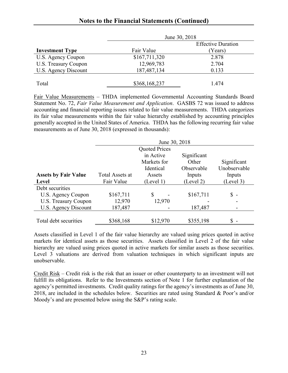|                        | June 30, 2018 |                           |  |
|------------------------|---------------|---------------------------|--|
|                        |               | <b>Effective Duration</b> |  |
| <b>Investment Type</b> | Fair Value    | Years)                    |  |
| U.S. Agency Coupon     | \$167,711,320 | 2.878                     |  |
| U.S. Treasury Coupon   | 12,969,783    | 2.704                     |  |
| U.S. Agency Discount   | 187, 487, 134 | 0.133                     |  |
|                        |               |                           |  |
| Total                  | \$368,168,237 | 1.474                     |  |

Fair Value Measurements – THDA implemented Governmental Accounting Standards Board Statement No. 72, *Fair Value Measurement and Application*. GASBS 72 was issued to address accounting and financial reporting issues related to fair value measurements. THDA categorizes its fair value measurements within the fair value hierarchy established by accounting principles generally accepted in the United States of America. THDA has the following recurring fair value measurements as of June 30, 2018 (expressed in thousands):

|                             | June 30, 2018   |                      |             |               |
|-----------------------------|-----------------|----------------------|-------------|---------------|
|                             |                 | <b>Quoted Prices</b> |             |               |
|                             |                 | in Active            | Significant |               |
|                             |                 | Markets for          | Other       | Significant   |
|                             |                 | Identical            | Observable  | Unobservable  |
| <b>Assets by Fair Value</b> | Total Assets at | Assets               | Inputs      | Inputs        |
| Level                       | Fair Value      | (Level 1)            | (Level 2)   | (Level 3)     |
| Debt securities             |                 |                      |             |               |
| U.S. Agency Coupon          | \$167,711       | \$                   | \$167,711   | $\mathbb S$ - |
| <b>U.S. Treasury Coupon</b> | 12,970          | 12,970               |             |               |
| U.S. Agency Discount        | 187,487         |                      | 187,487     |               |
|                             |                 |                      |             |               |
| Total debt securities       | \$368,168       | \$12,970             | \$355,198   | \$            |

Assets classified in Level 1 of the fair value hierarchy are valued using prices quoted in active markets for identical assets as those securities. Assets classified in Level 2 of the fair value hierarchy are valued using prices quoted in active markets for similar assets as those securities. Level 3 valuations are derived from valuation techniques in which significant inputs are unobservable.

Credit Risk – Credit risk is the risk that an issuer or other counterparty to an investment will not fulfill its obligations. Refer to the Investments section of Note 1 for further explanation of the agency's permitted investments. Credit quality ratings for the agency's investments as of June 30, 2018, are included in the schedules below. Securities are rated using Standard & Poor's and/or Moody's and are presented below using the S&P's rating scale.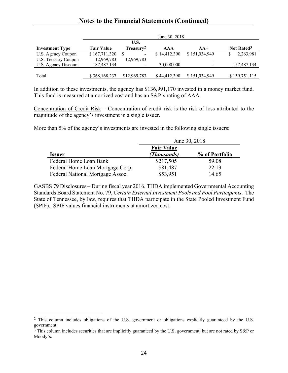|                        |                   |                          | June 30, 2018            |                          |                        |
|------------------------|-------------------|--------------------------|--------------------------|--------------------------|------------------------|
|                        |                   | U.S.                     |                          |                          |                        |
| <b>Investment Type</b> | <b>Fair Value</b> | $T$ reasury <sup>2</sup> | AAA                      | $AA+$                    | Not Rated <sup>3</sup> |
| U.S. Agency Coupon     | \$167,711,320     | $\overline{\phantom{a}}$ | \$14,412,390             | \$151,034,949            | 2,263,981              |
| U.S. Treasury Coupon   | 12,969,783        | 12,969,783               | $\overline{\phantom{0}}$ |                          |                        |
| U.S. Agency Discount   | 187, 487, 134     |                          | 30,000,000               | $\overline{\phantom{a}}$ | 157,487,134            |
|                        |                   |                          |                          |                          |                        |
| Total                  | \$368,168,237     | \$12,969,783             | \$44,412,390             | \$151,034,949            | \$159,751,115          |

In addition to these investments, the agency has \$136,991,170 invested in a money market fund. This fund is measured at amortized cost and has an S&P's rating of AAA.

Concentration of Credit Risk – Concentration of credit risk is the risk of loss attributed to the magnitude of the agency's investment in a single issuer.

More than 5% of the agency's investments are invested in the following single issuers:

|                                  | June 30, 2018     |                |  |
|----------------------------------|-------------------|----------------|--|
|                                  | <b>Fair Value</b> |                |  |
| <i><u><b>Issuer</b></u></i>      | (Thousands)       | % of Portfolio |  |
| Federal Home Loan Bank           | \$217,505         | 59.08          |  |
| Federal Home Loan Mortgage Corp. | \$81,487          | 22.13          |  |
| Federal National Mortgage Assoc. | \$53,951          | 14.65          |  |

GASBS 79 Disclosures – During fiscal year 2016, THDA implemented Governmental Accounting Standards Board Statement No. 79, *Certain External Investment Pools and Pool Participants*. The State of Tennessee, by law, requires that THDA participate in the State Pooled Investment Fund (SPIF). SPIF values financial instruments at amortized cost.

 $\overline{a}$ 

<sup>&</sup>lt;sup>2</sup> This column includes obligations of the U.S. government or obligations explicitly guaranteed by the U.S. government.

 $3$  This column includes securities that are implicitly guaranteed by the U.S. government, but are not rated by S&P or Moody's.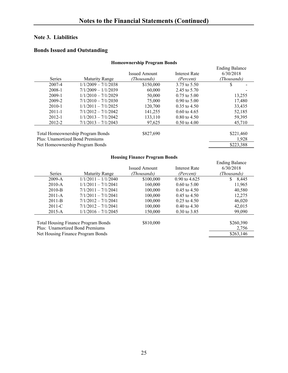## **Note 3. Liabilities**

#### **Bonds Issued and Outstanding**

|                                 | <b>Homeownership Program Bonds</b> |                                     |                            |                                                   |  |  |
|---------------------------------|------------------------------------|-------------------------------------|----------------------------|---------------------------------------------------|--|--|
| Series                          | <b>Maturity Range</b>              | <b>Issued Amount</b><br>(Thousands) | Interest Rate<br>(Percent) | <b>Ending Balance</b><br>6/30/2018<br>(Thousands) |  |  |
| 2007-4                          | $1/1/2009 - 7/1/2038$              | \$150,000                           | 3.75 to 5.50               | S                                                 |  |  |
| 2008-1                          | $7/1/2009 - 1/1/2039$              | 60,000                              | 2.45 to 5.70               |                                                   |  |  |
| 2009-1                          | $1/1/2010 - 7/1/2029$              | 50,000                              | $0.75$ to $5.00$           | 13,255                                            |  |  |
| 2009-2                          | $7/1/2010 - 7/1/2030$              | 75,000                              | $0.90 \text{ to } 5.00$    | 17,480                                            |  |  |
| 2010-1                          | $1/1/2011 - 7/1/2025$              | 120,700                             | $0.35$ to $4.50$           | 33,435                                            |  |  |
| $2011 - 1$                      | $7/1/2012 - 7/1/2042$              | 141,255                             | $0.60 \text{ to } 4.65$    | 52,185                                            |  |  |
| $2012 - 1$                      | $1/1/2013 - 7/1/2042$              | 133.110                             | $0.80 \text{ to } 4.50$    | 59,395                                            |  |  |
| 2012-2                          | $7/1/2013 - 7/1/2043$              | 97,625                              | $0.50 \text{ to } 4.00$    | 45,710                                            |  |  |
| Plus: Unamortized Bond Premiums | Total Homeownership Program Bonds  | \$827,690                           |                            | \$221,460<br>1,928                                |  |  |
|                                 | Net Homeownership Program Bonds    |                                     |                            | \$223,388                                         |  |  |

#### **Housing Finance Program Bonds**

| <b>Series</b><br>$2009 - A$<br>$2010-A$<br>$2010 - B$ | Maturity Range<br>$1/1/2011 - 1/1/2040$<br>$1/1/2011 - 7/1/2041$<br>$7/1/2011 - 7/1/2041$ | <b>Issued Amount</b><br>(Thousands)<br>\$100,000<br>160,000<br>100,000 | <b>Interest Rate</b><br>(Percent)<br>$0.90$ to 4.625<br>$0.60 \text{ to } 5.00$<br>$0.45$ to $4.50$ | <b>Ending Balance</b><br>6/30/2018<br>(Thousands)<br>S.<br>8,445<br>11,965<br>40,580 |
|-------------------------------------------------------|-------------------------------------------------------------------------------------------|------------------------------------------------------------------------|-----------------------------------------------------------------------------------------------------|--------------------------------------------------------------------------------------|
| $2011 - A$                                            | $7/1/2011 - 7/1/2041$                                                                     | 100,000                                                                | $0.45$ to $4.50$                                                                                    | 12.275                                                                               |
| $2011 - B$                                            | $7/1/2012 - 7/1/2041$                                                                     | 100,000                                                                | $0.25$ to 4.50                                                                                      | 46,020                                                                               |
| $2011 - C$                                            | $7/1/2012 - 7/1/2041$                                                                     | 100,000                                                                | $0.40 \text{ to } 4.30$                                                                             | 42,015                                                                               |
| $2015 - A$                                            | $1/1/2016 - 7/1/2045$                                                                     | 150,000                                                                | $0.30 \text{ to } 3.85$                                                                             | 99,090                                                                               |
| Plus: Unamortized Bond Premiums                       | <b>Total Housing Finance Program Bonds</b>                                                | \$810,000                                                              |                                                                                                     | \$260,390<br>2,756                                                                   |
| Net Housing Finance Program Bonds                     |                                                                                           |                                                                        |                                                                                                     | \$263,146                                                                            |

Net Housing Finance Program Bonds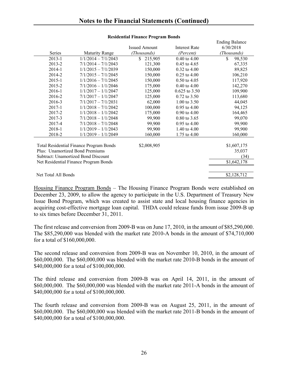|                     |                                            |                      |                         | <b>Ending Balance</b> |
|---------------------|--------------------------------------------|----------------------|-------------------------|-----------------------|
|                     |                                            | <b>Issued Amount</b> | <b>Interest Rate</b>    | 6/30/2018             |
| Series              | <b>Maturity Range</b>                      | (Thousands)          | (Percent)               | (Thousands)           |
| $2013 - 1$          | $1/1/2014 - 7/1/2043$                      | 215,905<br>\$        | $0.40$ to $4.00$        | \$<br>98,530          |
| 2013-2              | $7/1/2014 - 7/1/2043$                      | 121,300              | $0.45$ to 4.65          | 67,335                |
| 2014-1              | $1/1/2015 - 7/1/2039$                      | 150,000              | $0.32$ to $4.00$        | 89,825                |
| 2014-2              | $7/1/2015 - 7/1/2045$                      | 150,000              | $0.25$ to $4.00$        | 106,210               |
| 2015-1              | $1/1/2016 - 7/1/2045$                      | 150,000              | $0.50$ to $4.05$        | 117,920               |
| 2015-2              | $7/1/2016 - 1/1/2046$                      | 175,000              | $0.40$ to $4.00$        | 142,270               |
| 2016-1              | $1/1/2017 - 1/1/2047$                      | 125,000              | $0.625$ to 3.50         | 109,900               |
| 2016-2              | $7/1/2017 - 1/1/2047$                      | 125,000              | $0.72$ to 3.50          | 113,680               |
| 2016-3              | $7/1/2017 - 7/1/2031$                      | 62,000               | $1.00 \text{ to } 3.50$ | 44,045                |
| 2017-1              | $1/1/2018 - 7/1/2042$                      | 100,000              | $0.95$ to $4.00$        | 94,125                |
| 2017-2              | $1/1/2018 - 1/1/2042$                      | 175,000              | $0.90$ to $4.00$        | 164,465               |
| 2017-3              | $7/1/2018 - 1/1/2048$                      | 99,900               | $0.80$ to 3.65          | 99,070                |
| 2017-4              | $7/1/2018 - 7/1/2048$                      | 99,900               | $0.95$ to $4.00$        | 99,900                |
| 2018-1              | $1/1/2019 - 1/1/2043$                      | 99,900               | 1.40 to $4.00$          | 99,900                |
| 2018-2              | $1/1/2019 - 1/1/2049$                      | 160,000              | 1.75 to 4.00            | 160,000               |
|                     |                                            |                      |                         |                       |
|                     | Total Residential Finance Program Bonds    | \$2,008,905          |                         | \$1,607,175           |
|                     | Plus: Unamortized Bond Premiums            |                      |                         | 35,037                |
|                     | <b>Subtract: Unamortized Bond Discount</b> |                      |                         | (34)                  |
|                     | Net Residential Finance Program Bonds      |                      |                         | \$1,642,178           |
|                     |                                            |                      |                         |                       |
| Net Total All Bonds |                                            |                      |                         | \$2,128,712           |

#### **Residential Finance Program Bonds**

Housing Finance Program Bonds – The Housing Finance Program Bonds were established on December 23, 2009, to allow the agency to participate in the U.S. Department of Treasury New Issue Bond Program, which was created to assist state and local housing finance agencies in acquiring cost-effective mortgage loan capital. THDA could release funds from issue 2009-B up to six times before December 31, 2011.

The first release and conversion from 2009-B was on June 17, 2010, in the amount of \$85,290,000. The \$85,290,000 was blended with the market rate 2010-A bonds in the amount of \$74,710,000 for a total of \$160,000,000.

The second release and conversion from 2009-B was on November 10, 2010, in the amount of \$60,000,000. The \$60,000,000 was blended with the market rate 2010-B bonds in the amount of \$40,000,000 for a total of \$100,000,000.

The third release and conversion from 2009-B was on April 14, 2011, in the amount of \$60,000,000. The \$60,000,000 was blended with the market rate 2011-A bonds in the amount of \$40,000,000 for a total of \$100,000,000.

The fourth release and conversion from 2009-B was on August 25, 2011, in the amount of \$60,000,000. The \$60,000,000 was blended with the market rate 2011-B bonds in the amount of \$40,000,000 for a total of \$100,000,000.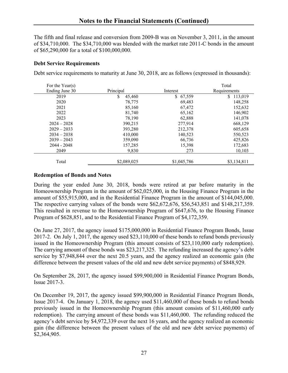The fifth and final release and conversion from 2009-B was on November 3, 2011, in the amount of \$34,710,000. The \$34,710,000 was blended with the market rate 2011-C bonds in the amount of \$65,290,000 for a total of \$100,000,000.

#### **Debt Service Requirements**

Debt service requirements to maturity at June 30, 2018, are as follows (expressed in thousands):

| For the $Year(s)$ |             |             | Total        |
|-------------------|-------------|-------------|--------------|
| Ending June 30    | Principal   | Interest    | Requirements |
| 2019              | S<br>45,460 | \$67,559    | \$113,019    |
| 2020              | 78,775      | 69,483      | 148,258      |
| 2021              | 85,160      | 67,472      | 152,632      |
| 2022              | 81,740      | 65,162      | 146,902      |
| 2023              | 78,190      | 62,888      | 141,078      |
| $2024 - 2028$     | 390,215     | 277,914     | 668,129      |
| $2029 - 2033$     | 393,280     | 212,378     | 605,658      |
| $2034 - 2038$     | 410,000     | 140,523     | 550,523      |
| $2039 - 2043$     | 359,090     | 66,736      | 425,826      |
| $2044 - 2048$     | 157,285     | 15,398      | 172,683      |
| 2049              | 9,830       | 273         | 10,103       |
|                   |             |             |              |
| Total             | \$2,089,025 | \$1,045,786 | \$3,134,811  |

#### **Redemption of Bonds and Notes**

During the year ended June 30, 2018, bonds were retired at par before maturity in the Homeownership Program in the amount of \$62,025,000, in the Housing Finance Program in the amount of \$55,915,000, and in the Residential Finance Program in the amount of \$144,045,000. The respective carrying values of the bonds were \$62,672,676, \$56,543,851 and \$148,217,359. This resulted in revenue to the Homeownership Program of \$647,676, to the Housing Finance Program of \$628,851, and to the Residential Finance Program of \$4,172,359.

On June 27, 2017, the agency issued \$175,000,000 in Residential Finance Program Bonds, Issue 2017-2. On July 1, 2017, the agency used \$23,110,000 of these bonds to refund bonds previously issued in the Homeownership Program (this amount consists of \$23,110,000 early redemption). The carrying amount of these bonds was \$23,217,325. The refunding increased the agency's debt service by \$7,948,844 over the next 20.5 years, and the agency realized an economic gain (the difference between the present values of the old and new debt service payments) of \$848,929.

On September 28, 2017, the agency issued \$99,900,000 in Residential Finance Program Bonds, Issue 2017-3.

On December 19, 2017, the agency issued \$99,900,000 in Residential Finance Program Bonds, Issue 2017-4. On January 1, 2018, the agency used \$11,460,000 of these bonds to refund bonds previously issued in the Homeownership Program (this amount consists of \$11,460,000 early redemption). The carrying amount of these bonds was \$11,460,000. The refunding reduced the agency's debt service by \$4,972,339 over the next 16 years, and the agency realized an economic gain (the difference between the present values of the old and new debt service payments) of \$2,364,905.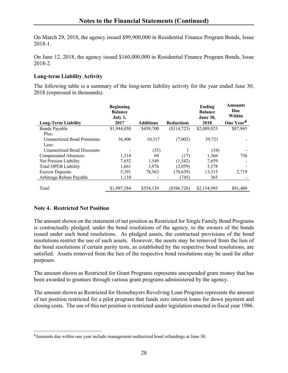On March 29, 2018, the agency issued \$99,900,000 in Residential Finance Program Bonds, Issue 2018-1.

On June 12, 2018, the agency issued \$160,000,000 in Residential Finance Program Bonds, Issue 2018-2.

#### **Long-term Liability Activity**

The following table is a summary of the long-term liability activity for the year ended June 30, 2018 (expressed in thousands).

|                             | <b>Beginning</b><br><b>Balance</b><br>July 1, |                  |                   | Ending<br><b>Balance</b><br><b>June 30,</b> | <b>Amounts</b><br>Due<br>Within |
|-----------------------------|-----------------------------------------------|------------------|-------------------|---------------------------------------------|---------------------------------|
| <b>Long-Term Liability</b>  | 2017                                          | <b>Additions</b> | <b>Reductions</b> | 2018                                        | One Year <sup>4</sup>           |
| Bonds Payable               | \$1,944,050                                   | \$459,700        | $(\$314,725)$     | \$2,089,025                                 | \$87,945                        |
| Plus:                       |                                               |                  |                   |                                             |                                 |
| Unamortized Bond Premiums   | 36,406                                        | 10,317           | (7,002)           | 39,721                                      |                                 |
| Less:                       |                                               |                  |                   |                                             |                                 |
| Unamortized Bond Discounts  |                                               | (35)             |                   | (34)                                        |                                 |
| <b>Compensated Absences</b> | 1.314                                         | 69               | (17)              | 1.366                                       | 736                             |
| Net Pension Liability       | 7,652                                         | 1.549            | (1, 542)          | 7,659                                       |                                 |
| <b>Total OPEB Liability</b> | 1,661                                         | 3.976            | (2,059)           | 3,578                                       |                                 |
| <b>Escrow Deposits</b>      | 5,391                                         | 78,563           | (70, 639)         | 13,315                                      | 2,719                           |
| Arbitrage Rebate Payable    | 1,110                                         |                  | (745)             | 365                                         |                                 |
|                             |                                               |                  |                   |                                             |                                 |
| Total                       | \$1,997,584                                   | \$554,139        | (\$396,728)       | \$2,154,995                                 | \$91,400                        |

#### **Note 4. Restricted Net Position**

 $\overline{a}$ 

The amount shown on the statement of net position as Restricted for Single Family Bond Programs is contractually pledged, under the bond resolutions of the agency, to the owners of the bonds issued under such bond resolutions. As pledged assets, the contractual provisions of the bond resolutions restrict the use of such assets. However, the assets may be removed from the lien of the bond resolutions if certain parity tests, as established by the respective bond resolutions, are satisfied. Assets removed from the lien of the respective bond resolutions may be used for other purposes.

The amount shown as Restricted for Grant Programs represents unexpended grant money that has been awarded to grantees through various grant programs administered by the agency.

The amount shown as Restricted for Homebuyers Revolving Loan Program represents the amount of net position restricted for a pilot program that funds zero interest loans for down payment and closing costs. The use of this net position is restricted under legislation enacted in fiscal year 1986.

<sup>4</sup>Amounts due within one year include management-authorized bond refundings at June 30.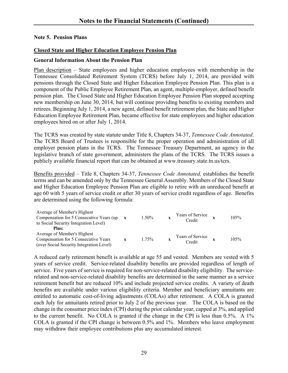#### **Note 5. Pension Plans**

#### **Closed State and Higher Education Employee Pension Plan**

#### **General Information About the Pension Plan**

Plan description – State employees and higher education employees with membership in the Tennessee Consolidated Retirement System (TCRS) before July 1, 2014, are provided with pensions through the Closed State and Higher Education Employee Pension Plan. This plan is a component of the Public Employee Retirement Plan, an agent, multiple-employer, defined benefit pension plan. The Closed State and Higher Education Employee Pension Plan stopped accepting new membership on June 30, 2014, but will continue providing benefits to existing members and retirees. Beginning July 1, 2014, a new agent, defined benefit retirement plan, the State and Higher Education Employee Retirement Plan, became effective for state employees and higher education employees hired on or after July 1, 2014.

The TCRS was created by state statute under Title 8, Chapters 34-37, *Tennessee Code Annotated*. The TCRS Board of Trustees is responsible for the proper operation and administration of all employer pension plans in the TCRS. The Tennessee Treasury Department, an agency in the legislative branch of state government, administers the plans of the TCRS. The TCRS issues a publicly available financial report that can be obtained at [www.treasury.state.tn.us/tcrs.](http://www.treasury.state.tn.us/tcrs) 

Benefits provided – Title 8, Chapters 34-37, *Tennessee Code Annotated,* establishes the benefit terms and can be amended only by the Tennessee General Assembly. Members of the Closed State and Higher Education Employee Pension Plan are eligible to retire with an unreduced benefit at age 60 with 5 years of service credit or after 30 years of service credit regardless of age. Benefits are determined using the following formula:

| Average of Member's Highest<br>Compensation for 5 Consecutive Years (up)<br>to Social Security Integration Level) | $\mathbf{x}$ | 1.50%    |   | Years of Service<br>Credit | 105% |
|-------------------------------------------------------------------------------------------------------------------|--------------|----------|---|----------------------------|------|
| <b>Plus:</b>                                                                                                      |              |          |   |                            |      |
| Average of Member's Highest                                                                                       |              |          |   | Years of Service           |      |
| Compensation for 5 Consecutive Years                                                                              | X            | $1.75\%$ | x | Credit                     | 105% |
| (over Social Security Integration Level)                                                                          |              |          |   |                            |      |

A reduced early retirement benefit is available at age 55 and vested. Members are vested with 5 years of service credit. Service-related disability benefits are provided regardless of length of service. Five years of service is required for non-service-related disability eligibility. The servicerelated and non-service-related disability benefits are determined in the same manner as a service retirement benefit but are reduced 10% and include projected service credits. A variety of death benefits are available under various eligibility criteria. Member and beneficiary annuitants are entitled to automatic cost-of-living adjustments (COLAs) after retirement. A COLA is granted each July for annuitants retired prior to July 2 of the previous year. The COLA is based on the change in the consumer price index (CPI) during the prior calendar year, capped at 3%, and applied to the current benefit. No COLA is granted if the change in the CPI is less than 0.5%. A 1% COLA is granted if the CPI change is between 0.5% and 1%. Members who leave employment may withdraw their employee contributions plus any accumulated interest.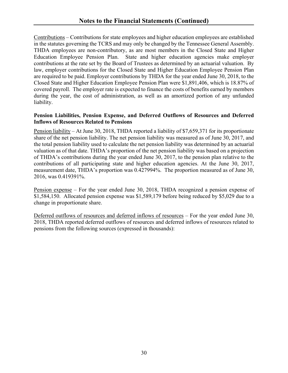Contributions – Contributions for state employees and higher education employees are established in the statutes governing the TCRS and may only be changed by the Tennessee General Assembly. THDA employees are non-contributory, as are most members in the Closed State and Higher Education Employee Pension Plan. State and higher education agencies make employer contributions at the rate set by the Board of Trustees as determined by an actuarial valuation. By law, employer contributions for the Closed State and Higher Education Employee Pension Plan are required to be paid. Employer contributions by THDA for the year ended June 30, 2018, to the Closed State and Higher Education Employee Pension Plan were \$1,891,406, which is 18.87% of covered payroll. The employer rate is expected to finance the costs of benefits earned by members during the year, the cost of administration, as well as an amortized portion of any unfunded liability.

#### **Pension Liabilities, Pension Expense, and Deferred Outflows of Resources and Deferred Inflows of Resources Related to Pensions**

Pension liability – At June 30, 2018, THDA reported a liability of \$7,659,371 for its proportionate share of the net pension liability. The net pension liability was measured as of June 30, 2017, and the total pension liability used to calculate the net pension liability was determined by an actuarial valuation as of that date. THDA's proportion of the net pension liability was based on a projection of THDA's contributions during the year ended June 30, 2017, to the pension plan relative to the contributions of all participating state and higher education agencies. At the June 30, 2017, measurement date, THDA's proportion was 0.427994%. The proportion measured as of June 30, 2016, was 0.419391%.

Pension expense – For the year ended June 30, 2018, THDA recognized a pension expense of \$1,584,150. Allocated pension expense was \$1,589,179 before being reduced by \$5,029 due to a change in proportionate share.

Deferred outflows of resources and deferred inflows of resources – For the year ended June 30, 2018, THDA reported deferred outflows of resources and deferred inflows of resources related to pensions from the following sources (expressed in thousands):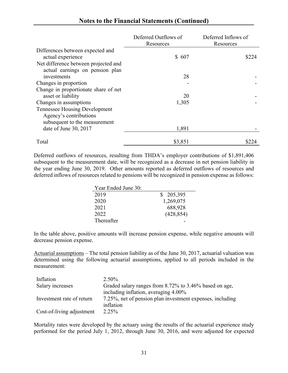|                                      | Deferred Outflows of<br>Resources | Deferred Inflows of<br>Resources |
|--------------------------------------|-----------------------------------|----------------------------------|
| Differences between expected and     |                                   |                                  |
| actual experience                    | \$607                             | \$224                            |
| Net difference between projected and |                                   |                                  |
| actual earnings on pension plan      |                                   |                                  |
| investments                          | 28                                |                                  |
| Changes in proportion                |                                   |                                  |
| Change in proportionate share of net |                                   |                                  |
| asset or liability                   | 20                                |                                  |
| Changes in assumptions               | 1,305                             |                                  |
| <b>Tennessee Housing Development</b> |                                   |                                  |
| Agency's contributions               |                                   |                                  |
| subsequent to the measurement        |                                   |                                  |
| date of June 30, 2017                | 1,891                             |                                  |
| Total                                | \$3,851                           |                                  |

#### **Notes to the Financial Statements (Continued)**

Deferred outflows of resources, resulting from THDA's employer contributions of \$1,891,406 subsequent to the measurement date, will be recognized as a decrease in net pension liability in the year ending June 30, 2019. Other amounts reported as deferred outflows of resources and deferred inflows of resources related to pensions will be recognized in pension expense as follows:

| Year Ended June 30: |            |
|---------------------|------------|
| 2019                | \$205,395  |
| 2020                | 1,269,075  |
| 2021                | 688,928    |
| 2022                | (428, 854) |
| Thereafter          |            |

In the table above, positive amounts will increase pension expense, while negative amounts will decrease pension expense.

Actuarial assumptions – The total pension liability as of the June 30, 2017, actuarial valuation was determined using the following actuarial assumptions, applied to all periods included in the measurement:

| Inflation                 | 2.50%                                                     |
|---------------------------|-----------------------------------------------------------|
| Salary increases          | Graded salary ranges from 8.72% to 3.46% based on age,    |
|                           | including inflation, averaging 4.00%                      |
| Investment rate of return | 7.25%, net of pension plan investment expenses, including |
|                           | inflation                                                 |
| Cost-of-living adjustment | 2.25%                                                     |

Mortality rates were developed by the actuary using the results of the actuarial experience study performed for the period July 1, 2012, through June 30, 2016, and were adjusted for expected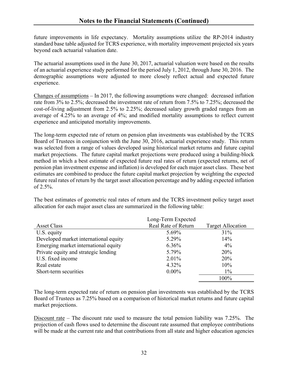future improvements in life expectancy. Mortality assumptions utilize the RP-2014 industry standard base table adjusted for TCRS experience, with mortality improvement projected six years beyond each actuarial valuation date.

The actuarial assumptions used in the June 30, 2017, actuarial valuation were based on the results of an actuarial experience study performed for the period July 1, 2012, through June 30, 2016. The demographic assumptions were adjusted to more closely reflect actual and expected future experience.

Changes of assumptions – In 2017, the following assumptions were changed: decreased inflation rate from 3% to 2.5%; decreased the investment rate of return from 7.5% to 7.25%; decreased the cost-of-living adjustment from 2.5% to 2.25%; decreased salary growth graded ranges from an average of 4.25% to an average of 4%; and modified mortality assumptions to reflect current experience and anticipated mortality improvements.

The long-term expected rate of return on pension plan investments was established by the TCRS Board of Trustees in conjunction with the June 30, 2016, actuarial experience study. This return was selected from a range of values developed using historical market returns and future capital market projections. The future capital market projections were produced using a building-block method in which a best estimate of expected future real rates of return (expected returns, net of pension plan investment expense and inflation) is developed for each major asset class. These best estimates are combined to produce the future capital market projection by weighting the expected future real rates of return by the target asset allocation percentage and by adding expected inflation of 2.5%.

The best estimates of geometric real rates of return and the TCRS investment policy target asset allocation for each major asset class are summarized in the following table:

|                                       | Long-Term Expected  |                          |
|---------------------------------------|---------------------|--------------------------|
| Asset Class                           | Real Rate of Return | <b>Target Allocation</b> |
| U.S. equity                           | 5.69%               | 31%                      |
| Developed market international equity | 5.29%               | 14%                      |
| Emerging market international equity  | 6.36%               | $4\%$                    |
| Private equity and strategic lending  | 5.79%               | 20%                      |
| U.S. fixed income                     | 2.01%               | 20%                      |
| Real estate                           | 4.32%               | 10%                      |
| Short-term securities                 | $0.00\%$            | $1\%$                    |
|                                       |                     | 100%                     |

The long-term expected rate of return on pension plan investments was established by the TCRS Board of Trustees as 7.25% based on a comparison of historical market returns and future capital market projections.

Discount rate – The discount rate used to measure the total pension liability was 7.25%. The projection of cash flows used to determine the discount rate assumed that employee contributions will be made at the current rate and that contributions from all state and higher education agencies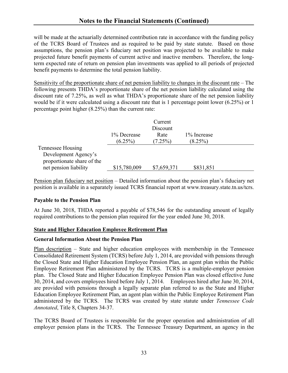will be made at the actuarially determined contribution rate in accordance with the funding policy of the TCRS Board of Trustees and as required to be paid by state statute. Based on those assumptions, the pension plan's fiduciary net position was projected to be available to make projected future benefit payments of current active and inactive members. Therefore, the longterm expected rate of return on pension plan investments was applied to all periods of projected benefit payments to determine the total pension liability.

Sensitivity of the proportionate share of net pension liability to changes in the discount rate – The following presents THDA's proportionate share of the net pension liability calculated using the discount rate of 7.25%, as well as what THDA's proportionate share of the net pension liability would be if it were calculated using a discount rate that is 1 percentage point lower (6.25%) or 1 percentage point higher (8.25%) than the current rate:

|                            |              | Current<br>Discount |              |  |
|----------------------------|--------------|---------------------|--------------|--|
|                            | 1% Decrease  | Rate                | 1\% Increase |  |
|                            | $(6.25\%)$   | $(7.25\%)$          | $(8.25\%)$   |  |
| Tennessee Housing          |              |                     |              |  |
| Development Agency's       |              |                     |              |  |
| proportionate share of the |              |                     |              |  |
| net pension liability      | \$15,780,009 | \$7,659,371         | \$831,851    |  |

Pension plan fiduciary net position – Detailed information about the pension plan's fiduciary net position is available in a separately issued TCRS financial report at [www.treasury.state.tn.us/tcrs.](http://www.treasury.state.tn.us/tcrs) 

#### **Payable to the Pension Plan**

At June 30, 2018, THDA reported a payable of \$78,546 for the outstanding amount of legally required contributions to the pension plan required for the year ended June 30, 2018.

#### **State and Higher Education Employee Retirement Plan**

#### **General Information About the Pension Plan**

Plan description – State and higher education employees with membership in the Tennessee Consolidated Retirement System (TCRS) before July 1, 2014, are provided with pensions through the Closed State and Higher Education Employee Pension Plan, an agent plan within the Public Employee Retirement Plan administered by the TCRS. TCRS is a multiple-employer pension plan. The Closed State and Higher Education Employee Pension Plan was closed effective June 30, 2014, and covers employees hired before July 1, 2014. Employees hired after June 30, 2014, are provided with pensions through a legally separate plan referred to as the State and Higher Education Employee Retirement Plan, an agent plan within the Public Employee Retirement Plan administered by the TCRS. The TCRS was created by state statute under *Tennessee Code Annotated*, Title 8, Chapters 34-37.

The TCRS Board of Trustees is responsible for the proper operation and administration of all employer pension plans in the TCRS. The Tennessee Treasury Department, an agency in the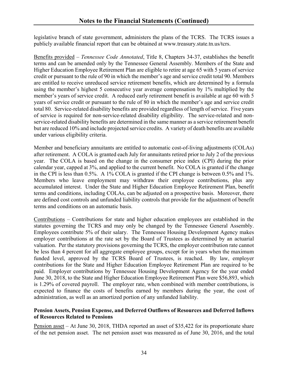legislative branch of state government, administers the plans of the TCRS. The TCRS issues a publicly available financial report that can be obtained at [www.treasury.state.tn.us/tcrs.](http://www.treasury.state.tn.us/tcrs) 

Benefits provided – *Tennessee Code Annotated*, Title 8, Chapters 34-37, establishes the benefit terms and can be amended only by the Tennessee General Assembly. Members of the State and Higher Education Employee Retirement Plan are eligible to retire at age 65 with 5 years of service credit or pursuant to the rule of 90 in which the member's age and service credit total 90. Members are entitled to receive unreduced service retirement benefits, which are determined by a formula using the member's highest 5 consecutive year average compensation by 1% multiplied by the member's years of service credit. A reduced early retirement benefit is available at age 60 with 5 years of service credit or pursuant to the rule of 80 in which the member's age and service credit total 80. Service-related disability benefits are provided regardless of length of service. Five years of service is required for non-service-related disability eligibility. The service-related and nonservice-related disability benefits are determined in the same manner as a service retirement benefit but are reduced 10% and include projected service credits. A variety of death benefits are available under various eligibility criteria.

Member and beneficiary annuitants are entitled to automatic cost-of-living adjustments (COLAs) after retirement. A COLA is granted each July for annuitants retired prior to July 2 of the previous year. The COLA is based on the change in the consumer price index (CPI) during the prior calendar year, capped at 3%, and applied to the current benefit. No COLA is granted if the change in the CPI is less than 0.5%. A 1% COLA is granted if the CPI change is between 0.5% and 1%. Members who leave employment may withdraw their employee contributions, plus any accumulated interest. Under the State and Higher Education Employee Retirement Plan, benefit terms and conditions, including COLAs, can be adjusted on a prospective basis. Moreover, there are defined cost controls and unfunded liability controls that provide for the adjustment of benefit terms and conditions on an automatic basis.

Contributions – Contributions for state and higher education employees are established in the statutes governing the TCRS and may only be changed by the Tennessee General Assembly. Employees contribute 5% of their salary. The Tennessee Housing Development Agency makes employer contributions at the rate set by the Board of Trustees as determined by an actuarial valuation. Per the statutory provisions governing the TCRS, the employer contribution rate cannot be less than 4 percent for all aggregate employee groups, except for in years when the maximum funded level, approved by the TCRS Board of Trustees, is reached. By law, employer contributions for the State and Higher Education Employee Retirement Plan are required to be paid. Employer contributions by Tennessee Housing Development Agency for the year ended June 30, 2018, to the State and Higher Education Employee Retirement Plan were \$56,893, which is 1.29% of covered payroll. The employer rate, when combined with member contributions, is expected to finance the costs of benefits earned by members during the year, the cost of administration, as well as an amortized portion of any unfunded liability.

#### **Pension Assets, Pension Expense, and Deferred Outflows of Resources and Deferred Inflows of Resources Related to Pensions**

Pension asset – At June 30, 2018, THDA reported an asset of \$35,422 for its proportionate share of the net pension asset. The net pension asset was measured as of June 30, 2016, and the total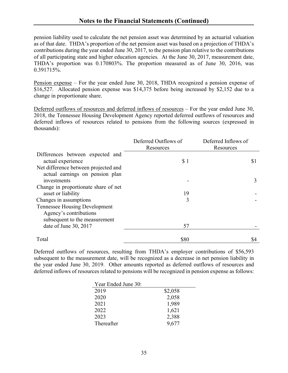pension liability used to calculate the net pension asset was determined by an actuarial valuation as of that date. THDA's proportion of the net pension asset was based on a projection of THDA's contributions during the year ended June 30, 2017, to the pension plan relative to the contributions of all participating state and higher education agencies. At the June 30, 2017, measurement date, THDA's proportion was 0.170803%. The proportion measured as of June 30, 2016, was 0.391715%.

Pension expense – For the year ended June 30, 2018, THDA recognized a pension expense of \$16,527. Allocated pension expense was \$14,375 before being increased by \$2,152 due to a change in proportionate share.

Deferred outflows of resources and deferred inflows of resources – For the year ended June 30, 2018, the Tennessee Housing Development Agency reported deferred outflows of resources and deferred inflows of resources related to pensions from the following sources (expressed in thousands):

|                                                                                                 | Deferred Outflows of<br>Resources | Deferred Inflows of<br>Resources |
|-------------------------------------------------------------------------------------------------|-----------------------------------|----------------------------------|
| Differences between expected and<br>actual experience                                           | \$1                               | \$1                              |
| Net difference between projected and<br>actual earnings on pension plan                         |                                   |                                  |
| investments                                                                                     |                                   | 3                                |
| Change in proportionate share of net                                                            |                                   |                                  |
| asset or liability                                                                              | 19                                |                                  |
| Changes in assumptions                                                                          | 3                                 |                                  |
| <b>Tennessee Housing Development</b><br>Agency's contributions<br>subsequent to the measurement |                                   |                                  |
| date of June 30, 2017                                                                           | 57                                |                                  |
| Total                                                                                           | \$80                              |                                  |

Deferred outflows of resources, resulting from THDA's employer contributions of \$56,593 subsequent to the measurement date, will be recognized as a decrease in net pension liability in the year ended June 30, 2019. Other amounts reported as deferred outflows of resources and deferred inflows of resources related to pensions will be recognized in pension expense as follows:

| Year Ended June 30: |         |
|---------------------|---------|
| 2019                | \$2,058 |
| 2020                | 2,058   |
| 2021                | 1,989   |
| 2022                | 1,621   |
| 2023                | 2,388   |
| Thereafter          | 9,677   |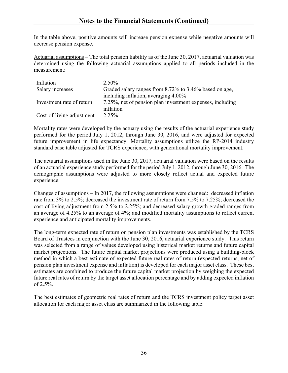In the table above, positive amounts will increase pension expense while negative amounts will decrease pension expense.

Actuarial assumptions – The total pension liability as of the June 30, 2017, actuarial valuation was determined using the following actuarial assumptions applied to all periods included in the measurement:

| Inflation                 | 2.50%                                                     |
|---------------------------|-----------------------------------------------------------|
| Salary increases          | Graded salary ranges from 8.72% to 3.46% based on age,    |
|                           | including inflation, averaging 4.00%                      |
| Investment rate of return | 7.25%, net of pension plan investment expenses, including |
|                           | inflation                                                 |
| Cost-of-living adjustment | 2.25%                                                     |

Mortality rates were developed by the actuary using the results of the actuarial experience study performed for the period July 1, 2012, through June 30, 2016, and were adjusted for expected future improvement in life expectancy. Mortality assumptions utilize the RP-2014 industry standard base table adjusted for TCRS experience, with generational mortality improvement.

The actuarial assumptions used in the June 30, 2017, actuarial valuation were based on the results of an actuarial experience study performed for the period July 1, 2012, through June 30, 2016. The demographic assumptions were adjusted to more closely reflect actual and expected future experience.

Changes of assumptions – In 2017, the following assumptions were changed: decreased inflation rate from 3% to 2.5%; decreased the investment rate of return from 7.5% to 7.25%; decreased the cost-of-living adjustment from 2.5% to 2.25%; and decreased salary growth graded ranges from an average of 4.25% to an average of 4%; and modified mortality assumptions to reflect current experience and anticipated mortality improvements.

The long-term expected rate of return on pension plan investments was established by the TCRS Board of Trustees in conjunction with the June 30, 2016, actuarial experience study. This return was selected from a range of values developed using historical market returns and future capital market projections. The future capital market projections were produced using a building-block method in which a best estimate of expected future real rates of return (expected returns, net of pension plan investment expense and inflation) is developed for each major asset class. These best estimates are combined to produce the future capital market projection by weighing the expected future real rates of return by the target asset allocation percentage and by adding expected inflation of 2.5%.

The best estimates of geometric real rates of return and the TCRS investment policy target asset allocation for each major asset class are summarized in the following table: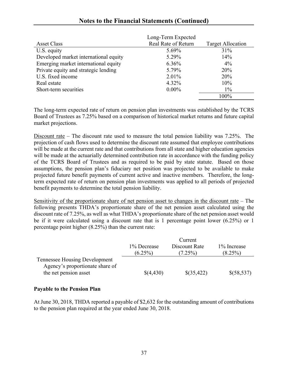|                                       | Long-Term Expected  |                          |
|---------------------------------------|---------------------|--------------------------|
| <b>Asset Class</b>                    | Real Rate of Return | <b>Target Allocation</b> |
| U.S. equity                           | 5.69%               | 31%                      |
| Developed market international equity | 5.29%               | 14%                      |
| Emerging market international equity  | 6.36%               | $4\%$                    |
| Private equity and strategic lending  | 5.79%               | <b>20%</b>               |
| U.S. fixed income                     | 2.01%               | 20%                      |
| Real estate                           | 4.32%               | $10\%$                   |
| Short-term securities                 | $0.00\%$            | $1\%$                    |
|                                       |                     | 100%                     |

#### **Notes to the Financial Statements (Continued)**

The long-term expected rate of return on pension plan investments was established by the TCRS Board of Trustees as 7.25% based on a comparison of historical market returns and future capital market projections.

Discount rate – The discount rate used to measure the total pension liability was 7.25%. The projection of cash flows used to determine the discount rate assumed that employee contributions will be made at the current rate and that contributions from all state and higher education agencies will be made at the actuarially determined contribution rate in accordance with the funding policy of the TCRS Board of Trustees and as required to be paid by state statute. Based on those assumptions, the pension plan's fiduciary net position was projected to be available to make projected future benefit payments of current active and inactive members. Therefore, the longterm expected rate of return on pension plan investments was applied to all periods of projected benefit payments to determine the total pension liability.

Sensitivity of the proportionate share of net pension asset to changes in the discount rate – The following presents THDA's proportionate share of the net pension asset calculated using the discount rate of 7.25%, as well as what THDA's proportionate share of the net pension asset would be if it were calculated using a discount rate that is 1 percentage point lower (6.25%) or 1 percentage point higher (8.25%) than the current rate:

|                                      |              | Current       |              |
|--------------------------------------|--------------|---------------|--------------|
|                                      | 1\% Decrease | Discount Rate | 1\% Increase |
|                                      | $(6.25\%)$   | $(7.25\%)$    | $(8.25\%)$   |
| <b>Tennessee Housing Development</b> |              |               |              |
| Agency's proportionate share of      |              |               |              |
| the net pension asset                | \$(4,430)    | \$(35,422)    | \$(58,537)   |

#### **Payable to the Pension Plan**

At June 30, 2018, THDA reported a payable of \$2,632 for the outstanding amount of contributions to the pension plan required at the year ended June 30, 2018.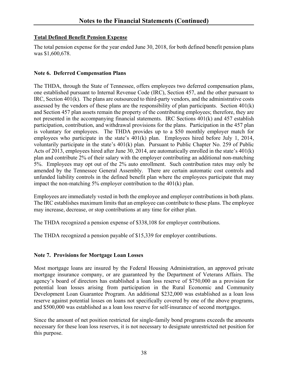#### **Total Defined Benefit Pension Expense**

The total pension expense for the year ended June 30, 2018, for both defined benefit pension plans was \$1,600,678.

#### **Note 6. Deferred Compensation Plans**

The THDA, through the State of Tennessee, offers employees two deferred compensation plans, one established pursuant to Internal Revenue Code (IRC), Section 457, and the other pursuant to IRC, Section 401(k). The plans are outsourced to third-party vendors, and the administrative costs assessed by the vendors of these plans are the responsibility of plan participants. Section 401(k) and Section 457 plan assets remain the property of the contributing employees; therefore, they are not presented in the accompanying financial statements. IRC Sections 401(k) and 457 establish participation, contribution, and withdrawal provisions for the plans. Participation in the 457 plan is voluntary for employees. The THDA provides up to a \$50 monthly employer match for employees who participate in the state's 401(k) plan. Employees hired before July 1, 2014, voluntarily participate in the state's 401(k) plan. Pursuant to Public Chapter No. 259 of Public Acts of 2013, employees hired after June 30, 2014, are automatically enrolled in the state's 401(k) plan and contribute 2% of their salary with the employer contributing an additional non-matching 5%. Employees may opt out of the 2% auto enrollment. Such contribution rates may only be amended by the Tennessee General Assembly. There are certain automatic cost controls and unfunded liability controls in the defined benefit plan where the employees participate that may impact the non-matching 5% employer contribution to the 401(k) plan.

Employees are immediately vested in both the employee and employer contributions in both plans. The IRC establishes maximum limits that an employee can contribute to these plans. The employee may increase, decrease, or stop contributions at any time for either plan.

The THDA recognized a pension expense of \$338,108 for employer contributions.

The THDA recognized a pension payable of \$15,339 for employer contributions.

#### **Note 7. Provisions for Mortgage Loan Losses**

Most mortgage loans are insured by the Federal Housing Administration, an approved private mortgage insurance company, or are guaranteed by the Department of Veterans Affairs. The agency's board of directors has established a loan loss reserve of \$750,000 as a provision for potential loan losses arising from participation in the Rural Economic and Community Development Loan Guarantee Program. An additional \$232,000 was established as a loan loss reserve against potential losses on loans not specifically covered by one of the above programs, and \$500,000 was established as a loan loss reserve for self-insurance of second mortgages.

Since the amount of net position restricted for single-family bond programs exceeds the amounts necessary for these loan loss reserves, it is not necessary to designate unrestricted net position for this purpose.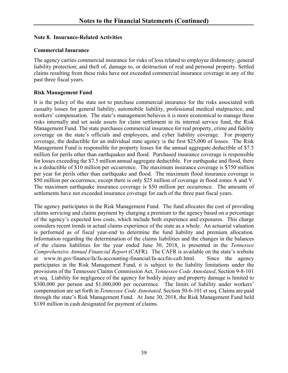#### **Note 8. Insurance-Related Activities**

#### **Commercial Insurance**

The agency carries commercial insurance for risks of loss related to employee dishonesty; general liability protection; and theft of, damage to, or destruction of real and personal property. Settled claims resulting from these risks have not exceeded commercial insurance coverage in any of the past three fiscal years.

#### **Risk Management Fund**

It is the policy of the state not to purchase commercial insurance for the risks associated with casualty losses for general liability, automobile liability, professional medical malpractice, and workers' compensation. The state's management believes it is more economical to manage these risks internally and set aside assets for claim settlement in its internal service fund, the Risk Management Fund. The state purchases commercial insurance for real property, crime and fidelity coverage on the state's officials and employees, and cyber liability coverage. For property coverage, the deductible for an individual state agency is the first \$25,000 of losses. The Risk Management Fund is responsible for property losses for the annual aggregate deductible of \$7.5 million for perils other than earthquakes and flood. Purchased insurance coverage is responsible for losses exceeding the \$7.5 million annual aggregate deductible. For earthquake and flood, there is a deductible of \$10 million per occurrence. The maximum insurance coverage is \$750 million per year for perils other than earthquake and flood. The maximum flood insurance coverage is \$50 million per occurrence, except there is only \$25 million of coverage in flood zones A and V. The maximum earthquake insurance coverage is \$50 million per occurrence. The amounts of settlements have not exceeded insurance coverage for each of the three past fiscal years.

The agency participates in the Risk Management Fund. The fund allocates the cost of providing claims servicing and claims payment by charging a premium to the agency based on a percentage of the agency's expected loss costs, which include both experience and exposures. This charge considers recent trends in actual claims experience of the state as a whole. An actuarial valuation is performed as of fiscal year-end to determine the fund liability and premium allocation. Information regarding the determination of the claims liabilities and the changes in the balances of the claims liabilities for the year ended June 30, 2018, is presented in the *Tennessee Comprehensive Annual Financial Report* (CAFR). The CAFR is available on the state's website at [www.tn.gov/finance/fa/fa-accounting-financial/fa-accfin-cafr.html.](http://www.tn.gov/finance/fa/fa-accounting-financial/fa-accfin-cafr.html) Since the agency participates in the Risk Management Fund, it is subject to the liability limitations under the provisions of the Tennessee Claims Commission Act, *Tennessee Code Annotated*, Section 9-8-101 et seq. Liability for negligence of the agency for bodily injury and property damage is limited to \$300,000 per person and \$1,000,000 per occurrence. The limits of liability under workers' compensation are set forth in *Tennessee Code Annotated*, Section 50-6-101 et seq. Claims are paid through the state's Risk Management Fund. At June 30, 2018, the Risk Management Fund held \$189 million in cash designated for payment of claims.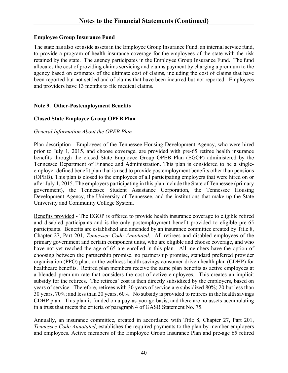#### **Employee Group Insurance Fund**

The state has also set aside assets in the Employee Group Insurance Fund, an internal service fund, to provide a program of health insurance coverage for the employees of the state with the risk retained by the state. The agency participates in the Employee Group Insurance Fund. The fund allocates the cost of providing claims servicing and claims payment by charging a premium to the agency based on estimates of the ultimate cost of claims, including the cost of claims that have been reported but not settled and of claims that have been incurred but not reported. Employees and providers have 13 months to file medical claims.

#### **Note 9. Other-Postemployment Benefits**

#### **Closed State Employee Group OPEB Plan**

#### *General Information About the OPEB Plan*

Plan description - Employees of the Tennessee Housing Development Agency, who were hired prior to July 1, 2015, and choose coverage, are provided with pre-65 retiree health insurance benefits through the closed State Employee Group OPEB Plan (EGOP) administered by the Tennessee Department of Finance and Administration. This plan is considered to be a singleemployer defined benefit plan that is used to provide postemployment benefits other than pensions (OPEB). This plan is closed to the employees of all participating employers that were hired on or after July 1, 2015. The employers participating in this plan include the State of Tennessee (primary government), the Tennessee Student Assistance Corporation, the Tennessee Housing Development Agency, the University of Tennessee, and the institutions that make up the State University and Community College System.

Benefits provided - The EGOP is offered to provide health insurance coverage to eligible retired and disabled participants and is the only postemployment benefit provided to eligible pre-65 participants. Benefits are established and amended by an insurance committee created by Title 8, Chapter 27, Part 201, *Tennessee Code Annotated*. All retirees and disabled employees of the primary government and certain component units, who are eligible and choose coverage, and who have not yet reached the age of 65 are enrolled in this plan. All members have the option of choosing between the partnership promise, no partnership promise, standard preferred provider organization (PPO) plan, or the wellness health savings consumer-driven health plan (CDHP) for healthcare benefits. Retired plan members receive the same plan benefits as active employees at a blended premium rate that considers the cost of active employees. This creates an implicit subsidy for the retirees. The retirees' cost is then directly subsidized by the employers, based on years of service. Therefore, retirees with 30 years of service are subsidized 80%; 20 but less than 30 years, 70%; and less than 20 years, 60%. No subsidy is provided to retirees in the health savings CDHP plan. This plan is funded on a pay-as-you-go basis, and there are no assets accumulating in a trust that meets the criteria of paragraph 4 of GASB Statement No. 75.

Annually, an insurance committee, created in accordance with Title 8, Chapter 27, Part 201, *Tennessee Code Annotated*, establishes the required payments to the plan by member employers and employees. Active members of the Employee Group Insurance Plan and pre-age 65 retired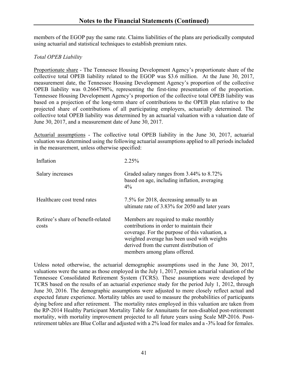members of the EGOP pay the same rate. Claims liabilities of the plans are periodically computed using actuarial and statistical techniques to establish premium rates.

#### *Total OPEB Liability*

Proportionate share - The Tennessee Housing Development Agency's proportionate share of the collective total OPEB liability related to the EGOP was \$3.6 million. At the June 30, 2017, measurement date, the Tennessee Housing Development Agency's proportion of the collective OPEB liability was 0.2664798%, representing the first-time presentation of the proportion. Tennessee Housing Development Agency's proportion of the collective total OPEB liability was based on a projection of the long-term share of contributions to the OPEB plan relative to the projected share of contributions of all participating employers, actuarially determined. The collective total OPEB liability was determined by an actuarial valuation with a valuation date of June 30, 2017, and a measurement date of June 30, 2017.

Actuarial assumptions - The collective total OPEB liability in the June 30, 2017, actuarial valuation was determined using the following actuarial assumptions applied to all periods included in the measurement, unless otherwise specified:

| Inflation                                   | 2.25%                                                                                                                                                                                                                                                         |
|---------------------------------------------|---------------------------------------------------------------------------------------------------------------------------------------------------------------------------------------------------------------------------------------------------------------|
| Salary increases                            | Graded salary ranges from 3.44% to 8.72%<br>based on age, including inflation, averaging<br>$4\%$                                                                                                                                                             |
| Healthcare cost trend rates                 | 7.5% for 2018, decreasing annually to an<br>ultimate rate of 3.83% for 2050 and later years                                                                                                                                                                   |
| Retiree's share of benefit-related<br>costs | Members are required to make monthly<br>contributions in order to maintain their<br>coverage. For the purpose of this valuation, a<br>weighted average has been used with weights<br>derived from the current distribution of<br>members among plans offered. |

Unless noted otherwise, the actuarial demographic assumptions used in the June 30, 2017, valuations were the same as those employed in the July 1, 2017, pension actuarial valuation of the Tennessee Consolidated Retirement System (TCRS). These assumptions were developed by TCRS based on the results of an actuarial experience study for the period July 1, 2012, through June 30, 2016. The demographic assumptions were adjusted to more closely reflect actual and expected future experience. Mortality tables are used to measure the probabilities of participants dying before and after retirement. The mortality rates employed in this valuation are taken from the RP-2014 Healthy Participant Mortality Table for Annuitants for non-disabled post-retirement mortality, with mortality improvement projected to all future years using Scale MP-2016. Postretirement tables are Blue Collar and adjusted with a 2% load for males and a -3% load for females.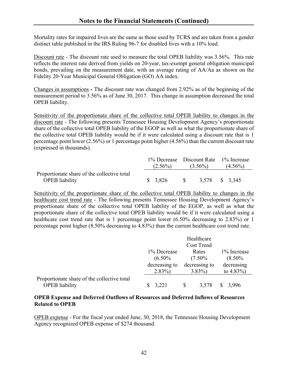Mortality rates for impaired lives are the same as those used by TCRS and are taken from a gender distinct table published in the IRS Ruling 96-7 for disabled lives with a 10% load.

Discount rate - The discount rate used to measure the total OPEB liability was 3.56%. This rate reflects the interest rate derived from yields on 20-year, tax-exempt general obligation municipal bonds, prevailing on the measurement date, with an average rating of AA/Aa as shown on the Fidelity 20-Year Municipal General Obligation (GO) AA index.

Changes in assumptions *-* The discount rate was changed from 2.92% as of the beginning of the measurement period to 3.56% as of June 30, 2017. This change in assumption decreased the total OPEB liability.

Sensitivity of the proportionate share of the collective total OPEB liability to changes in the discount rate - The following presents Tennessee Housing Development Agency's proportionate share of the collective total OPEB liability of the EGOP as well as what the proportionate share of the collective total OPEB liability would be if it were calculated using a discount rate that is 1 percentage point lower (2.56%) or 1 percentage point higher (4.56%) than the current discount rate (expressed in thousands).

|                                             | 1% Decrease Discount Rate 1% Increase |              |                |            |
|---------------------------------------------|---------------------------------------|--------------|----------------|------------|
|                                             | $(2.56\%)$                            |              | $(3.56\%)$     | $(4.56\%)$ |
| Proportionate share of the collective total |                                       |              |                |            |
| <b>OPEB</b> liability                       | \$3,826                               | $\mathbb{S}$ | 3,578 \$ 3,345 |            |

Sensitivity of the proportionate share of the collective total OPEB liability to changes in the healthcare cost trend rate - The following presents Tennessee Housing Development Agency's proportionate share of the collective total OPEB liability of the EGOP, as well as what the proportionate share of the collective total OPEB liability would be if it were calculated using a healthcare cost trend rate that is 1 percentage point lower (6.50% decreasing to 2.83%) or 1 percentage point higher (8.50% decreasing to 4.83%) than the current healthcare cost trend rate.

|                                             |               | Healthcare<br>Cost Trend |               |
|---------------------------------------------|---------------|--------------------------|---------------|
|                                             | 1% Decrease   | Rates                    | 1% Increase   |
|                                             | $(6.50\%$     | $(7.50\%$                | $(8.50\%$     |
|                                             | decreasing to | decreasing to            | decreasing    |
|                                             | $2.83\%$      | $3.83\%$                 | to $4.83\%$ ) |
| Proportionate share of the collective total |               |                          |               |
| <b>OPEB</b> liability                       | 3,221         | 3,578                    | 3.996         |

#### **OPEB Expense and Deferred Outflows of Resources and Deferred Inflows of Resources Related to OPEB**

OPEB expense - For the fiscal year ended June, 30, 2018, the Tennessee Housing Development Agency recognized OPEB expense of \$274 thousand.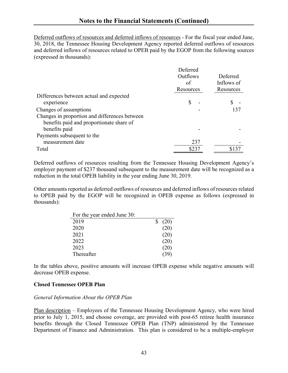Deferred outflows of resources and deferred inflows of resources - For the fiscal year ended June, 30, 2018, the Tennessee Housing Development Agency reported deferred outflows of resources and deferred inflows of resources related to OPEB paid by the EGOP from the following sources (expressed in thousands):

|                                               | Deferred  |            |
|-----------------------------------------------|-----------|------------|
|                                               | Outflows  | Deferred   |
|                                               | of        | Inflows of |
|                                               | Resources | Resources  |
| Differences between actual and expected       |           |            |
| experience                                    | S         |            |
| Changes of assumptions                        |           | 137        |
| Changes in proportion and differences between |           |            |
| benefits paid and proportionate share of      |           |            |
| benefits paid                                 |           |            |
| Payments subsequent to the                    |           |            |
| measurement date                              | 237       |            |
| Total                                         | \$237     | \$137      |

Deferred outflows of resources resulting from the Tennessee Housing Development Agency's employer payment of \$237 thousand subsequent to the measurement date will be recognized as a reduction in the total OPEB liability in the year ending June 30, 2019.

Other amounts reported as deferred outflows of resources and deferred inflows of resources related to OPEB paid by the EGOP will be recognized in OPEB expense as follows (expressed in thousands):

| For the year ended June 30: |            |
|-----------------------------|------------|
| 2019                        | \$<br>(20) |
| 2020                        | (20)       |
| 2021                        | (20)       |
| 2022                        | (20)       |
| 2023                        | (20)       |
| Thereafter                  | .39.       |

In the tables above, positive amounts will increase OPEB expense while negative amounts will decrease OPEB expense.

#### **Closed Tennessee OPEB Plan**

#### *General Information About the OPEB Plan*

Plan description – Employees of the Tennessee Housing Development Agency, who were hired prior to July 1, 2015, and choose coverage, are provided with post-65 retiree health insurance benefits through the Closed Tennessee OPEB Plan (TNP) administered by the Tennessee Department of Finance and Administration. This plan is considered to be a multiple-employer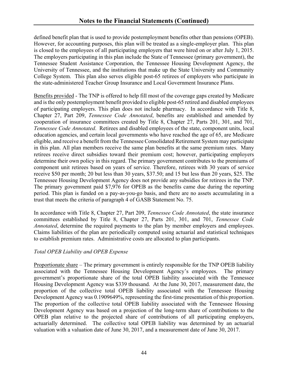defined benefit plan that is used to provide postemployment benefits other than pensions (OPEB). However, for accounting purposes, this plan will be treated as a single-employer plan. This plan is closed to the employees of all participating employers that were hired on or after July 1, 2015. The employers participating in this plan include the State of Tennessee (primary government), the Tennessee Student Assistance Corporation, the Tennessee Housing Development Agency, the University of Tennessee, and the institutions that make up the State University and Community College System. This plan also serves eligible post-65 retirees of employers who participate in the state-administered Teacher Group Insurance and Local Government Insurance Plans.

Benefits provided - The TNP is offered to help fill most of the coverage gaps created by Medicare and is the only postemployment benefit provided to eligible post-65 retired and disabled employees of participating employers. This plan does not include pharmacy. In accordance with Title 8, Chapter 27, Part 209, *Tennessee Code Annotated*, benefits are established and amended by cooperation of insurance committees created by Title 8, Chapter 27, Parts 201, 301, and 701, *Tennessee Code Annotated*. Retirees and disabled employees of the state, component units, local education agencies, and certain local governments who have reached the age of 65, are Medicare eligible, and receive a benefit from the Tennessee Consolidated Retirement System may participate in this plan. All plan members receive the same plan benefits at the same premium rates. Many retirees receive direct subsidies toward their premium cost; however, participating employers determine their own policy in this regard. The primary government contributes to the premiums of component unit retirees based on years of service. Therefore, retirees with 30 years of service receive \$50 per month; 20 but less than 30 years, \$37.50; and 15 but less than 20 years, \$25. The Tennessee Housing Development Agency does not provide any subsidies for retirees in the TNP. The primary government paid \$7,976 for OPEB as the benefits came due during the reporting period. This plan is funded on a pay-as-you-go basis, and there are no assets accumulating in a trust that meets the criteria of paragraph 4 of GASB Statement No. 75.

In accordance with Title 8, Chapter 27, Part 209, *Tennessee Code Annotated*, the state insurance committees established by Title 8, Chapter 27, Parts 201, 301, and 701, *Tennessee Code Annotated*, determine the required payments to the plan by member employers and employees. Claims liabilities of the plan are periodically computed using actuarial and statistical techniques to establish premium rates. Administrative costs are allocated to plan participants.

#### *Total OPEB Liability and OPEB Expense*

Proportionate share – The primary government is entirely responsible for the TNP OPEB liability associated with the Tennessee Housing Development Agency's employees. The primary government's proportionate share of the total OPEB liability associated with the Tennessee Housing Development Agency was \$339 thousand. At the June 30, 2017, measurement date, the proportion of the collective total OPEB liability associated with the Tennessee Housing Development Agency was 0.1909649%, representing the first-time presentation of this proportion. The proportion of the collective total OPEB liability associated with the Tennessee Housing Development Agency was based on a projection of the long-term share of contributions to the OPEB plan relative to the projected share of contributions of all participating employers, actuarially determined. The collective total OPEB liability was determined by an actuarial valuation with a valuation date of June 30, 2017, and a measurement date of June 30, 2017.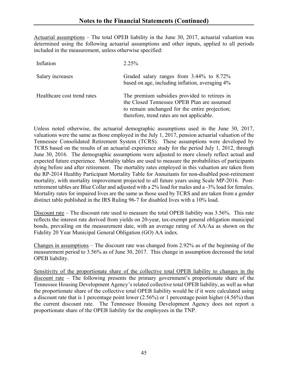Actuarial assumptions – The total OPEB liability in the June 30, 2017, actuarial valuation was determined using the following actuarial assumptions and other inputs, applied to all periods included in the measurement, unless otherwise specified:

| Inflation                   | $2.25\%$                                                                                                                                                                                    |
|-----------------------------|---------------------------------------------------------------------------------------------------------------------------------------------------------------------------------------------|
| Salary increases            | Graded salary ranges from 3.44% to 8.72%<br>based on age, including inflation, averaging 4%                                                                                                 |
| Healthcare cost trend rates | The premium subsidies provided to retirees in<br>the Closed Tennessee OPEB Plan are assumed<br>to remain unchanged for the entire projection;<br>therefore, trend rates are not applicable. |

Unless noted otherwise, the actuarial demographic assumptions used in the June 30, 2017, valuations were the same as those employed in the July 1, 2017, pension actuarial valuation of the Tennessee Consolidated Retirement System (TCRS). These assumptions were developed by TCRS based on the results of an actuarial experience study for the period July 1, 2012, through June 30, 2016. The demographic assumptions were adjusted to more closely reflect actual and expected future experience. Mortality tables are used to measure the probabilities of participants dying before and after retirement. The mortality rates employed in this valuation are taken from the RP-2014 Healthy Participant Mortality Table for Annuitants for non-disabled post-retirement mortality, with mortality improvement projected to all future years using Scale MP-2016. Postretirement tables are Blue Collar and adjusted with a 2% load for males and a -3% load for females. Mortality rates for impaired lives are the same as those used by TCRS and are taken from a gender distinct table published in the IRS Ruling 96-7 for disabled lives with a 10% load.

Discount rate – The discount rate used to measure the total OPEB liability was 3.56%. This rate reflects the interest rate derived from yields on 20-year, tax-exempt general obligation municipal bonds, prevailing on the measurement date, with an average rating of AA/Aa as shown on the Fidelity 20 Year Municipal General Obligation (GO) AA index.

Changes in assumptions – The discount rate was changed from 2.92% as of the beginning of the measurement period to 3.56% as of June 30, 2017. This change in assumption decreased the total OPEB liability.

Sensitivity of the proportionate share of the collective total OPEB liability to changes in the discount rate – The following presents the primary government's proportionate share of the Tennessee Housing Development Agency's related collective total OPEB liability, as well as what the proportionate share of the collective total OPEB liability would be if it were calculated using a discount rate that is 1 percentage point lower (2.56%) or 1 percentage point higher (4.56%) than the current discount rate. The Tennessee Housing Development Agency does not report a proportionate share of the OPEB liability for the employees in the TNP.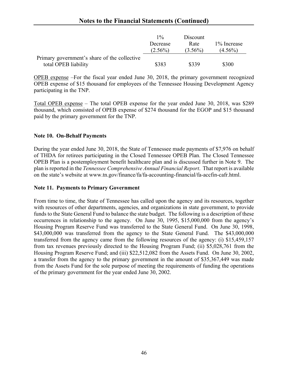|                                              | $1\%$      | Discount   |              |
|----------------------------------------------|------------|------------|--------------|
|                                              | Decrease   | Rate       | 1\% Increase |
|                                              | $(2.56\%)$ | $(3.56\%)$ | $(4.56\%)$   |
| Primary government's share of the collective |            |            |              |
| total OPEB liability                         | \$383      | \$339      | \$300        |

OPEB expense –For the fiscal year ended June 30, 2018, the primary government recognized OPEB expense of \$15 thousand for employees of the Tennessee Housing Development Agency participating in the TNP.

Total OPEB expense – The total OPEB expense for the year ended June 30, 2018, was \$289 thousand, which consisted of OPEB expense of \$274 thousand for the EGOP and \$15 thousand paid by the primary government for the TNP.

#### **Note 10. On-Behalf Payments**

During the year ended June 30, 2018, the State of Tennessee made payments of \$7,976 on behalf of THDA for retirees participating in the Closed Tennessee OPEB Plan. The Closed Tennessee OPEB Plan is a postemployment benefit healthcare plan and is discussed further in Note 9. The plan is reported in the *Tennessee Comprehensive Annual Financial Report*. That report is available on the state's website at [www.tn.gov/finance/fa/fa-accounting-financial/fa-accfin-cafr.html.](http://www.tn.gov/finance/fa/fa-accounting-financial/fa-accfin-cafr.html) 

#### **Note 11. Payments to Primary Government**

From time to time, the State of Tennessee has called upon the agency and its resources, together with resources of other departments, agencies, and organizations in state government, to provide funds to the State General Fund to balance the state budget. The following is a description of these occurrences in relationship to the agency. On June 30, 1995, \$15,000,000 from the agency's Housing Program Reserve Fund was transferred to the State General Fund. On June 30, 1998, \$43,000,000 was transferred from the agency to the State General Fund. The \$43,000,000 transferred from the agency came from the following resources of the agency: (i) \$15,459,157 from tax revenues previously directed to the Housing Program Fund; (ii) \$5,028,761 from the Housing Program Reserve Fund; and (iii) \$22,512,082 from the Assets Fund. On June 30, 2002, a transfer from the agency to the primary government in the amount of \$35,367,449 was made from the Assets Fund for the sole purpose of meeting the requirements of funding the operations of the primary government for the year ended June 30, 2002.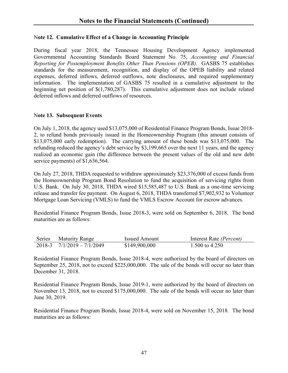#### N**ote 12. Cumulative Effect of a Change in Accounting Principle**

During fiscal year 2018, the Tennessee Housing Development Agency implemented Governmental Accounting Standards Board Statement No. 75, *Accounting and Financial Reporting for Postemployment Benefits Other Than Pensions (OPEB).* GASBS 75 establishes standards for the measurement, recognition, and display of the OPEB liability and related expenses, deferred inflows, deferred outflows, note disclosures, and required supplementary information. The implementation of GASBS 75 resulted in a cumulative adjustment to the beginning net position of \$(1,780,287). This cumulative adjustment does not include related deferred inflows and deferred outflows of resources.

#### N**ote 13. Subsequent Events**

On July 1, 2018, the agency used \$13,075,000 of Residential Finance Program Bonds, Issue 2018- 2, to refund bonds previously issued in the Homeownership Program (this amount consists of \$13,075,000 early redemption). The carrying amount of these bonds was \$13,075,000. The refunding reduced the agency's debt service by \$3,199,665 over the next 11 years, and the agency realized an economic gain (the difference between the present values of the old and new debt service payments) of \$1,636,564.

On July 27, 2018, THDA requested to withdraw approximately \$23,376,000 of excess funds from the Homeownership Program Bond Resolution to fund the acquisition of servicing rights from U.S. Bank. On July 30, 2018, THDA wired \$15,585,487 to U.S. Bank as a one-time servicing release and transfer fee payment. On August 6, 2018, THDA transferred \$7,902,932 to Volunteer Mortgage Loan Servicing (VMLS) to fund the VMLS Escrow Account for escrow advances.

Residential Finance Program Bonds, Issue 2018-3, were sold on September 6, 2018. The bond maturities are as follows:

| Series Maturity Range        | Issued Amount | Interest Rate (Percent) |
|------------------------------|---------------|-------------------------|
| $2018-3$ $7/1/2019-7/1/2049$ | \$149,900,000 | 1.500 to $4.250$        |

Residential Finance Program Bonds, Issue 2018-4, were authorized by the board of directors on September 25, 2018, not to exceed \$225,000,000. The sale of the bonds will occur no later than December 31, 2018.

Residential Finance Program Bonds, Issue 2019-1, were authorized by the board of directors on November 13, 2018, not to exceed \$175,000,000. The sale of the bonds will occur no later than June 30, 2019.

Residential Finance Program Bonds, Issue 2018-4, were sold on November 15, 2018. The bond maturities are as follows: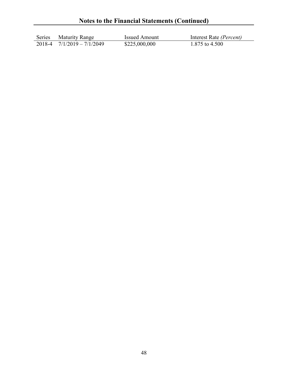| Series | <b>Maturity Range</b>          | Issued Amount | Interest Rate <i>(Percent)</i> |
|--------|--------------------------------|---------------|--------------------------------|
|        | $2018-4$ $7/1/2019 - 7/1/2049$ | \$225,000,000 | 1.875 to 4.500                 |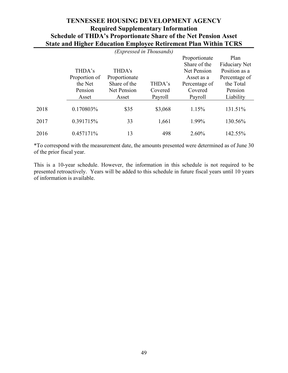## **TENNESSEE HOUSING DEVELOPMENT AGENCY Required Supplementary Information Schedule of THDA's Proportionate Share of the Net Pension Asset State and Higher Education Employee Retirement Plan Within TCRS**

|      |               |               | (Expressed in Thousands) |               |                      |
|------|---------------|---------------|--------------------------|---------------|----------------------|
|      |               |               |                          | Proportionate | Plan                 |
|      |               |               |                          | Share of the  | <b>Fiduciary Net</b> |
|      | THDA's        | THDA's        |                          | Net Pension   | Position as a        |
|      | Proportion of | Proportionate |                          | Asset as a    | Percentage of        |
|      | the Net       | Share of the  | THDA's                   | Percentage of | the Total            |
|      | Pension       | Net Pension   | Covered                  | Covered       | Pension              |
|      | Asset         | Asset         | Payroll                  | Payroll       | Liability            |
| 2018 | 0.170803%     | \$35          | \$3,068                  | 1.15%         | 131.51%              |
| 2017 | 0.391715%     | 33            | 1,661                    | 1.99%         | 130.56%              |
| 2016 | 0.457171%     | 13            | 498                      | 2.60%         | 142.55%              |

\*To correspond with the measurement date, the amounts presented were determined as of June 30 of the prior fiscal year.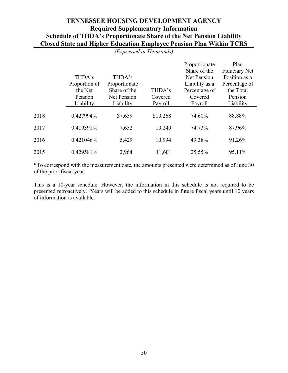## **TENNESSEE HOUSING DEVELOPMENT AGENCY Required Supplementary Information Schedule of THDA's Proportionate Share of the Net Pension Liability Closed State and Higher Education Employee Pension Plan Within TCRS**

|      | THDA's<br>Proportion of<br>the Net<br>Pension<br>Liability | THDA's<br>Proportionate<br>Share of the<br>Net Pension<br>Liability | THDA's<br>Covered<br>Payroll | Proportionate<br>Share of the<br>Net Pension<br>Liability as a<br>Percentage of<br>Covered<br>Payroll | Plan<br><b>Fiduciary Net</b><br>Position as a<br>Percentage of<br>the Total<br>Pension<br>Liability |
|------|------------------------------------------------------------|---------------------------------------------------------------------|------------------------------|-------------------------------------------------------------------------------------------------------|-----------------------------------------------------------------------------------------------------|
| 2018 | 0.427994%                                                  | \$7,659                                                             | \$10,268                     | 74.60%                                                                                                | 88.88%                                                                                              |
| 2017 | 0.419391%                                                  | 7,652                                                               | 10,240                       | 74.73%                                                                                                | 87.96%                                                                                              |
| 2016 | 0.421046%                                                  | 5,429                                                               | 10,994                       | 49.38%                                                                                                | 91.26%                                                                                              |
| 2015 | 0.429581%                                                  | 2,964                                                               | 11,601                       | 25.55%                                                                                                | 95.11%                                                                                              |

*(Expressed in Thousands)* 

\*To correspond with the measurement date, the amounts presented were determined as of June 30 of the prior fiscal year.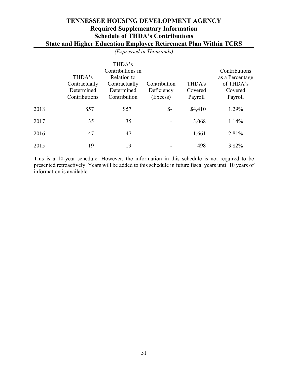## **TENNESSEE HOUSING DEVELOPMENT AGENCY Required Supplementary Information Schedule of THDA's Contributions State and Higher Education Employee Retirement Plan Within TCRS**

*(Expressed in Thousands)* 

|      | THDA's<br>Contractually<br>Determined<br>Contributions | THDA's<br>Contributions in<br>Relation to<br>Contractually<br>Determined<br>Contribution | Contribution<br>Deficiency<br>(Excess) | THDA's<br>Covered<br>Payroll | Contributions<br>as a Percentage<br>of THDA's<br>Covered<br>Payroll |
|------|--------------------------------------------------------|------------------------------------------------------------------------------------------|----------------------------------------|------------------------------|---------------------------------------------------------------------|
| 2018 | \$57                                                   | \$57                                                                                     | $\mathcal{S}$ -                        | \$4,410                      | 1.29%                                                               |
| 2017 | 35                                                     | 35                                                                                       |                                        | 3,068                        | 1.14%                                                               |
| 2016 | 47                                                     | 47                                                                                       |                                        | 1,661                        | 2.81%                                                               |
| 2015 | 19                                                     | 19                                                                                       |                                        | 498                          | 3.82%                                                               |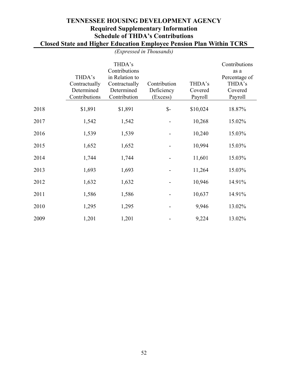## **TENNESSEE HOUSING DEVELOPMENT AGENCY Required Supplementary Information Schedule of THDA's Contributions Closed State and Higher Education Employee Pension Plan Within TCRS**

|      | THDA's<br>Contractually<br>Determined<br>Contributions | THDA's<br>Contributions<br>in Relation to<br>Contractually<br>Determined<br>Contribution | Contribution<br>Deficiency<br>(Excess) | THDA's<br>Covered<br>Payroll | Contributions<br>as a<br>Percentage of<br>THDA's<br>Covered<br>Payroll |
|------|--------------------------------------------------------|------------------------------------------------------------------------------------------|----------------------------------------|------------------------------|------------------------------------------------------------------------|
| 2018 | \$1,891                                                | \$1,891                                                                                  | $\mathcal{S}$ -                        | \$10,024                     | 18.87%                                                                 |
| 2017 | 1,542                                                  | 1,542                                                                                    |                                        | 10,268                       | 15.02%                                                                 |
| 2016 | 1,539                                                  | 1,539                                                                                    |                                        | 10,240                       | 15.03%                                                                 |
| 2015 | 1,652                                                  | 1,652                                                                                    |                                        | 10,994                       | 15.03%                                                                 |
| 2014 | 1,744                                                  | 1,744                                                                                    |                                        | 11,601                       | 15.03%                                                                 |
| 2013 | 1,693                                                  | 1,693                                                                                    |                                        | 11,264                       | 15.03%                                                                 |
| 2012 | 1,632                                                  | 1,632                                                                                    |                                        | 10,946                       | 14.91%                                                                 |
| 2011 | 1,586                                                  | 1,586                                                                                    |                                        | 10,637                       | 14.91%                                                                 |
| 2010 | 1,295                                                  | 1,295                                                                                    |                                        | 9,946                        | 13.02%                                                                 |
| 2009 | 1,201                                                  | 1,201                                                                                    |                                        | 9,224                        | 13.02%                                                                 |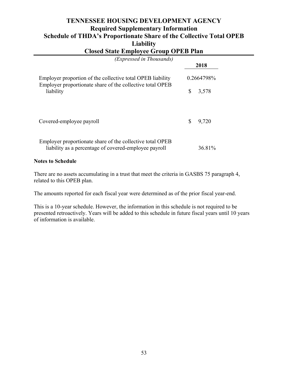## **TENNESSEE HOUSING DEVELOPMENT AGENCY Required Supplementary Information Schedule of THDA's Proportionate Share of the Collective Total OPEB Liability Closed State Employee Group OPEB Plan**

| (Expressed in Thousands)                                                                                                | 2018       |
|-------------------------------------------------------------------------------------------------------------------------|------------|
| Employer proportion of the collective total OPEB liability<br>Employer proportionate share of the collective total OPEB | 0.2664798% |
| liability                                                                                                               | 3,578<br>S |
| Covered-employee payroll                                                                                                | 9,720      |
| Employer proportionate share of the collective total OPEB<br>liability as a percentage of covered-employee payroll      | 36.81%     |

#### **Notes to Schedule**

There are no assets accumulating in a trust that meet the criteria in GASBS 75 paragraph 4, related to this OPEB plan.

The amounts reported for each fiscal year were determined as of the prior fiscal year-end.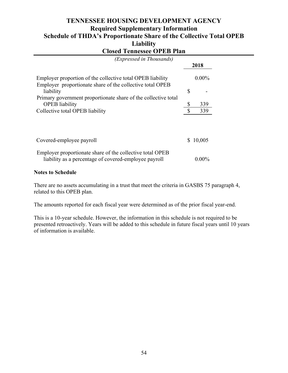## **TENNESSEE HOUSING DEVELOPMENT AGENCY Required Supplementary Information Schedule of THDA's Proportionate Share of the Collective Total OPEB Liability**

## **Closed Tennessee OPEB Plan**

| (Expressed in Thousands)                                                                                                | 2018                   |
|-------------------------------------------------------------------------------------------------------------------------|------------------------|
| Employer proportion of the collective total OPEB liability<br>Employer proportionate share of the collective total OPEB | $0.00\%$               |
| liability<br>Primary government proportionate share of the collective total                                             | \$                     |
| <b>OPEB</b> liability<br>Collective total OPEB liability                                                                | \$<br>339<br>\$<br>339 |
|                                                                                                                         |                        |
| Covered-employee payroll                                                                                                | 10,005<br>S.           |
| Employer proportionate share of the collective total OPEB<br>liability as a percentage of covered-employee payroll      | $0.00\%$               |

#### **Notes to Schedule**

There are no assets accumulating in a trust that meet the criteria in GASBS 75 paragraph 4, related to this OPEB plan.

The amounts reported for each fiscal year were determined as of the prior fiscal year-end.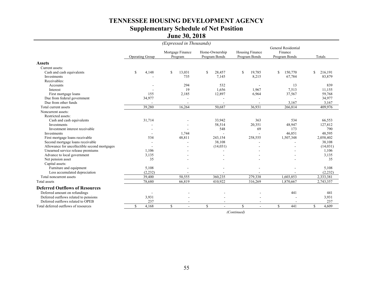## **TENNESSEE HOUSING DEVELOPMENT AGENCY Supplementary Schedule of Net Position**

**June 30, 2018** 

|                                              | (Expressed in Thousands) |                             |                                 |                                  |                                                 |                       |
|----------------------------------------------|--------------------------|-----------------------------|---------------------------------|----------------------------------|-------------------------------------------------|-----------------------|
|                                              | Operating Group          | Mortgage Finance<br>Program | Home-Ownership<br>Program Bonds | Housing Finance<br>Program Bonds | General Residential<br>Finance<br>Program Bonds | Totals                |
| <b>Assets</b>                                |                          |                             |                                 |                                  |                                                 |                       |
| Current assets:                              |                          |                             |                                 |                                  |                                                 |                       |
| Cash and cash equivalents                    | \$<br>4,148              | \$<br>13,031                | \$<br>28,457                    | \$<br>19,785                     | \$<br>150,770                                   | \$<br>216,191         |
| Investments                                  |                          | 735                         | 7,145                           | 8,215                            | 67,784                                          | 83,879                |
| Receivables:                                 |                          |                             |                                 |                                  |                                                 |                       |
| Accounts                                     |                          | 294                         | 532                             |                                  | 13                                              | 839                   |
| Interest                                     |                          | 19                          | 1,656                           | 1,967                            | 7,513                                           | 11,155                |
| First mortgage loans                         | 155                      | 2,185                       | 12,897                          | 6,964                            | 37,567                                          | 59,768                |
| Due from federal government                  | 34,977                   |                             |                                 |                                  |                                                 | 34,977                |
| Due from other funds                         |                          |                             | $\blacksquare$                  | ٠                                | 3,167                                           | 3,167                 |
| Total current assets                         | 39,280                   | 16,264                      | 50,687                          | 36,931                           | 266,814                                         | 409,976               |
| Noncurrent assets:                           |                          |                             |                                 |                                  |                                                 |                       |
| Restricted assets:                           |                          |                             |                                 |                                  |                                                 |                       |
| Cash and cash equivalents                    | 31,714                   |                             | 33,942                          | 363                              | 534                                             | 66,553                |
| Investments                                  |                          |                             | 58,514                          | 20,351                           | 48,947                                          | 127,812               |
| Investment interest receivable               |                          |                             | 548                             | 69                               | 173                                             | 790                   |
| <b>Investments</b>                           |                          | 1,744                       |                                 |                                  | 46,851                                          | 48,595                |
| First mortgage loans receivable              | 534                      | 48,811                      | 243,154                         | 258,555                          | 1,507,348                                       | 2,058,402             |
| Second mortgage loans receivable             |                          |                             | 38,108                          |                                  |                                                 | 38,108                |
| Allowance for uncollectible second mortgages |                          |                             | (14, 031)                       |                                  |                                                 | (14, 031)             |
| Unearned service release premiums            | 1,106                    |                             | ÷                               |                                  |                                                 | 1,106                 |
| Advance to local government                  | 3,135                    |                             |                                 |                                  |                                                 | 3,135                 |
| Net pension asset                            | 35                       |                             |                                 |                                  |                                                 | 35                    |
| Capital assets:                              |                          |                             |                                 |                                  |                                                 |                       |
| Furniture and equipment                      | 5,108                    |                             |                                 |                                  |                                                 | 5,108                 |
| Less accumulated depreciation                | (2,232)                  |                             |                                 |                                  |                                                 | (2,232)               |
| Total noncurrent assets                      | 39,400                   | 50,555                      | 360,235                         | 279,338                          | 1,603,853                                       | 2,333,381             |
| Total assets                                 | 78,680                   | 66,819                      | 410,922                         | 316,269                          | 1,870,667                                       | 2,743,357             |
| <b>Deferred Outflows of Resources</b>        |                          |                             |                                 |                                  |                                                 |                       |
| Deferred amount on refundings                |                          |                             |                                 |                                  | 441                                             | 441                   |
| Deferred outflows related to pensions        | 3,931                    |                             |                                 |                                  |                                                 | 3,931                 |
| Deferred outflows related to OPEB            | 237                      |                             |                                 |                                  |                                                 | 237                   |
| Total deferred outflows of resources         | \$<br>4,168              | $\mathbb{S}$                | \$<br>$\overline{\phantom{a}}$  | $\mathbf S$                      | <sup>\$</sup><br>441                            | $\mathbb{S}$<br>4,609 |

*(Continued)*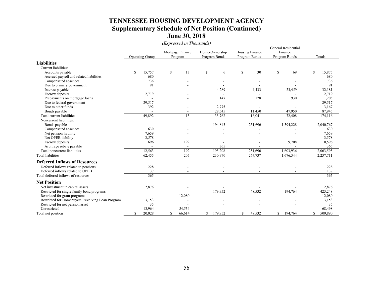## **TENNESSEE HOUSING DEVELOPMENT AGENCY Supplementary Schedule of Net Position (Continued) June 30, 2018**

|                                                  |                         | (Expressed in Thousands)    |                                 |                                                                                     |               |                          |
|--------------------------------------------------|-------------------------|-----------------------------|---------------------------------|-------------------------------------------------------------------------------------|---------------|--------------------------|
|                                                  | Operating Group         | Mortgage Finance<br>Program | Home-Ownership<br>Program Bonds | General Residential<br>Finance<br>Housing Finance<br>Program Bonds<br>Program Bonds |               | Totals                   |
| <b>Liabilities</b>                               |                         |                             |                                 |                                                                                     |               |                          |
| Current liabilities:                             |                         |                             |                                 |                                                                                     |               |                          |
| Accounts payable                                 | <sup>\$</sup><br>15,757 | \$<br>13                    | \$<br>6                         | $\mathbb{S}$<br>30                                                                  | \$<br>69      | $\mathbf S$<br>15,875    |
| Accrued payroll and related liabilities          | 680                     | $\overline{\phantom{a}}$    |                                 |                                                                                     |               | 680                      |
| Compensated absences                             | 736                     |                             |                                 |                                                                                     |               | 736                      |
| Due to primary government                        | 91                      |                             |                                 |                                                                                     |               | 91                       |
| Interest payable                                 |                         |                             | 4,289                           | 4,433                                                                               | 23,459        | 32,181                   |
| Escrow deposits                                  | 2,719                   |                             |                                 |                                                                                     |               | 2,719                    |
| Prepayments on mortgage loans                    |                         |                             | 147                             | 128                                                                                 | 930           | 1,205                    |
| Due to federal government                        | 29,517                  |                             |                                 |                                                                                     |               | 29,517                   |
| Due to other funds                               | 392                     |                             | 2,775                           |                                                                                     |               | 3,167                    |
| Bonds payable                                    |                         |                             | 28,545                          | 11,450                                                                              | 47,950        | 87,945                   |
| Total current liabilities                        | 49.892                  | 13                          | 35,762                          | 16,041                                                                              | 72,408        | 174,116                  |
| Noncurrent liabilities:                          |                         |                             |                                 |                                                                                     |               |                          |
| Bonds payable                                    |                         |                             | 194,843                         | 251,696                                                                             | 1,594,228     | 2,040,767                |
| Compensated absences                             | 630                     |                             |                                 |                                                                                     |               | 630                      |
| Net pension liability                            | 7,659                   |                             |                                 |                                                                                     |               | 7,659                    |
| Net OPEB liability                               | 3,578                   |                             |                                 |                                                                                     |               | 3,578                    |
| Escrow deposits                                  | 696                     | 192                         |                                 |                                                                                     | 9,708         | 10,596                   |
| Arbitrage rebate payable                         |                         |                             | 365                             |                                                                                     |               | 365                      |
| Total noncurrent liabilities                     | 12,563                  | 192                         | 195,208                         | 251,696                                                                             | 1,603,936     | 2,063,595                |
| <b>Total liabilities</b>                         | 62,455                  | 205                         | 230,970                         | 267,737                                                                             | 1,676,344     | 2,237,711                |
| <b>Deferred Inflows of Resources</b>             |                         |                             |                                 |                                                                                     |               |                          |
| Deferred inflows related to pensions             | 228                     |                             |                                 |                                                                                     |               | 228                      |
| Deferred inflows related to OPEB                 | 137                     |                             |                                 |                                                                                     |               | 137                      |
| Total deferred inflows of resources              | 365                     | $\sim$                      | $\sim$                          | ÷                                                                                   | $\sim$        | 365                      |
| <b>Net Position</b>                              |                         |                             |                                 |                                                                                     |               |                          |
| Net investment in capital assets                 | 2,876                   |                             |                                 |                                                                                     |               | 2,876                    |
| Restricted for single family bond programs       |                         |                             | 179,952                         | 48,532                                                                              | 194,764       | 423,248                  |
| Restricted for grant programs                    |                         | 12,080                      |                                 |                                                                                     |               | 12,080                   |
| Restricted for Homebuyers Revolving Loan Program | 3,153                   |                             |                                 |                                                                                     |               | 3,153                    |
| Restricted for net pension asset                 | 35                      |                             |                                 |                                                                                     |               | 35                       |
| Unrestricted                                     | 13,964                  | 54,534                      |                                 |                                                                                     |               | 68,498                   |
| Total net position                               | <sup>\$</sup><br>20,028 | $\mathbb{S}$<br>66,614      | $\mathbb{S}$<br>179,952         | \$<br>48,532                                                                        | S.<br>194,764 | <sup>\$</sup><br>509,890 |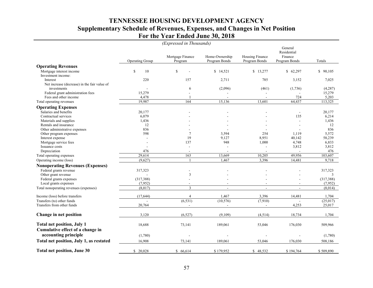## **TENNESSEE HOUSING DEVELOPMENT AGENCY Supplementary Schedule of Revenues, Expenses, and Changes in Net Position For the Year Ended June 30, 2018**

|                                                                       | (Expressed in Thousands) |                             |                                 |                                  |                                                    |                 |
|-----------------------------------------------------------------------|--------------------------|-----------------------------|---------------------------------|----------------------------------|----------------------------------------------------|-----------------|
|                                                                       | Operating Group          | Mortgage Finance<br>Program | Home-Ownership<br>Program Bonds | Housing Finance<br>Program Bonds | General<br>Residential<br>Finance<br>Program Bonds | Totals          |
| <b>Operating Revenues</b>                                             |                          |                             |                                 |                                  |                                                    |                 |
| Mortgage interest income                                              | \$<br>10                 | <sup>\$</sup>               | \$14,521                        | \$13,277                         | \$62,297                                           | \$90,105        |
| Investment income:                                                    |                          |                             |                                 |                                  |                                                    |                 |
| Interest                                                              | 220                      | 157                         | 2,711                           | 785                              | 3,152                                              | 7,025           |
| Net increase (decrease) in the fair value of                          |                          |                             |                                 |                                  |                                                    |                 |
| investments                                                           | 15,279                   | 6                           | (2,096)                         | (461)                            | (1,736)                                            | (4,287)         |
| Federal grant administration fees<br>Fees and other income            | 4,478                    | 1                           |                                 |                                  | 724                                                | 15,279<br>5,203 |
| Total operating revenues                                              | 19.987                   | 164                         | 15,136                          | 13.601                           | 64,437                                             | 113,325         |
|                                                                       |                          |                             |                                 |                                  |                                                    |                 |
| <b>Operating Expenses</b>                                             |                          |                             |                                 |                                  |                                                    |                 |
| Salaries and benefits                                                 | 20.177                   |                             |                                 |                                  |                                                    | 20,177          |
| Contractual services                                                  | 6,079<br>1,436           |                             |                                 |                                  | 135                                                | 6,214           |
| Materials and supplies<br>Rentals and insurance                       | 12                       |                             |                                 |                                  | ÷                                                  | 1,436<br>12     |
| Other administrative expenses                                         | 836                      |                             |                                 |                                  |                                                    | 836             |
| Other program expenses                                                | 598                      | 7                           | 3,594                           | 254                              | 1,119                                              | 5,572           |
| Interest expense                                                      |                          | 19                          | 9,127                           | 8,951                            | 40,142                                             | 58,239          |
| Mortgage service fees                                                 |                          | 137                         | 948                             | 1,000                            | 4,748                                              | 6,833           |
| Issuance costs                                                        |                          |                             |                                 |                                  | 3,812                                              | 3,812           |
| Depreciation                                                          | 476                      | $\sim$                      | $\sim$                          | ÷.                               | $\overline{a}$                                     | 476             |
| Total operating expenses                                              | 29,614                   | 163                         | 13,669                          | 10,205                           | 49,956                                             | 103,607         |
| Operating income (loss)                                               | (9,627)                  | -1                          | 1,467                           | 3,396                            | 14,481                                             | 9,718           |
| <b>Nonoperating Revenues (Expenses)</b>                               |                          |                             |                                 |                                  |                                                    |                 |
| Federal grants revenue                                                | 317,323                  |                             |                                 |                                  |                                                    | 317,323         |
| Other grant revenue                                                   |                          | 3                           |                                 |                                  |                                                    | 3               |
| Federal grants expenses                                               | (317, 388)               |                             |                                 |                                  |                                                    | (317, 388)      |
| Local grants expenses                                                 | (7,952)                  |                             |                                 |                                  |                                                    | (7,952)         |
| Total nonoperating revenues (expenses)                                | (8,017)                  | 3                           | $\sim$                          | $\sim$                           | ÷.                                                 | (8,014)         |
| Income (loss) before transfers                                        | (17, 644)                | $\overline{4}$              | 1,467                           | 3,396                            | 14,481                                             | 1,704           |
| Transfers (to) other funds                                            |                          | (6, 531)                    | (10, 576)                       | (7,910)                          |                                                    | (25,017)        |
| Transfers from other funds                                            | 20,764                   | $\overline{\phantom{a}}$    | ÷,                              |                                  | 4,253                                              | 25,017          |
| Change in net position                                                | 3,120                    | (6,527)                     | (9.109)                         | (4,514)                          | 18.734                                             | 1.704           |
| <b>Total net position, July 1</b><br>Cumulative effect of a change in | 18,688                   | 73,141                      | 189,061                         | 53,046                           | 176,030                                            | 509,966         |
| accounting principle                                                  | (1,780)                  |                             |                                 |                                  |                                                    | (1,780)         |
| Total net position, July 1, as restated                               | 16,908                   | 73,141                      | 189,061                         | 53,046                           | 176,030                                            | 508,186         |
| <b>Total net position, June 30</b>                                    | \$20,028                 | \$66,614                    | \$179,952                       | \$48,532                         | \$194,764                                          | \$509,890       |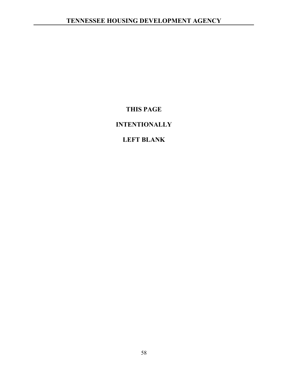**THIS PAGE** 

## **INTENTIONALLY**

## **LEFT BLANK**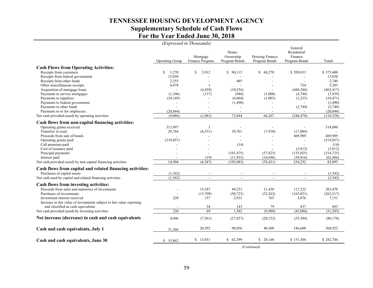## **TENNESSEE HOUSING DEVELOPMENT AGENCY Supplementary Schedule of Cash Flows**

## **For the Year Ended June 30, 2018**

|                                                                       |                                       | (Expressed in Thousands)    |                                     |                                     |                                                    |                         |
|-----------------------------------------------------------------------|---------------------------------------|-----------------------------|-------------------------------------|-------------------------------------|----------------------------------------------------|-------------------------|
|                                                                       | Operating Group                       | Mortgage<br>Finance Program | Home-<br>Ownership<br>Program Bonds | Housing Finance<br>Program Bonds    | General<br>Residential<br>Finance<br>Program Bonds | Totals                  |
| <b>Cash Flows from Operating Activities:</b>                          |                                       |                             |                                     |                                     |                                                    |                         |
| Receipts from customers                                               | \$<br>1,270                           | $\mathbb{S}$<br>3,912       | \$90,115                            | \$68,270                            | \$209,833                                          | \$373,400               |
| Receipts from federal government                                      | 15,030                                |                             |                                     |                                     |                                                    | 15,030                  |
| Receipts from other funds                                             | 2,255                                 |                             | 485                                 |                                     | ÷.                                                 | 2,740                   |
| Other miscellaneous receipts                                          | 4,478                                 |                             | ÷                                   |                                     | 724                                                | 5,203                   |
| Acquisition of mortgage loans                                         |                                       | (4, 859)                    | (10, 254)                           |                                     | (448, 304)                                         | (463, 417)              |
| Payments to service mortgages                                         | (1,106)                               | (137)                       | (948)                               | (1,000)                             | (4,748)                                            | (7,939)                 |
| Payments to suppliers                                                 | (10, 169)<br>$\overline{\phantom{a}}$ |                             | (4,064)                             | (1,003)<br>$\overline{\phantom{a}}$ | (1,235)<br>$\mathbf{u}$                            | (16, 471)               |
| Payments to federal government<br>Payments to other funds             |                                       |                             | (1,490)                             |                                     | (2,740)                                            | (1,490)<br>(2,740)      |
| Payments to or for employees                                          | (20, 844)                             |                             | $\blacksquare$                      | $\blacksquare$                      |                                                    | (20, 844)               |
| Net cash provided (used) by operating activities                      | (9.086)                               | (1,083)                     | 73,844                              | 66,267                              | (246, 470)                                         | (116,528)               |
|                                                                       |                                       |                             |                                     |                                     |                                                    |                         |
| Cash flows from non-capital financing activities:                     |                                       |                             |                                     |                                     |                                                    |                         |
| Operating grants received                                             | 313,997                               | 3                           |                                     |                                     |                                                    | 314,000                 |
| Transfers in (out)                                                    | 20,764                                | (6, 531)                    | 10,761                              | (7,910)                             | (17,084)                                           |                         |
| Proceeds from sale of bonds                                           |                                       |                             |                                     |                                     | 469,989                                            | 469,989                 |
| Operating grants paid                                                 | (319, 857)                            |                             |                                     |                                     |                                                    | (319, 857)              |
| Call premium paid                                                     |                                       |                             | (14)                                |                                     |                                                    | (14)                    |
| Cost of issuance paid                                                 |                                       |                             |                                     | (57, 825)                           | (3,812)                                            | (3,812)                 |
| Principal payments<br>Interest paid                                   |                                       | (19)                        | (101, 875)<br>(11,955)              | (10,696)                            | (155, 025)<br>(39, 816)                            | (314, 725)<br>(62, 486) |
| Net cash provided (used) by non-capital financing activities          | 14,904                                | (6, 547)                    | (103, 083)                          | (76, 431)                           | 254,252                                            | 83,095                  |
|                                                                       |                                       |                             |                                     |                                     |                                                    |                         |
| Cash flows from capital and related financing activities:             |                                       |                             |                                     |                                     |                                                    |                         |
| Purchases of capital assets                                           | (1, 542)                              | $\overline{\phantom{a}}$    | $\overline{\phantom{a}}$            | $\overline{\phantom{a}}$            |                                                    | (1, 542)                |
| Net cash used by capital and related financing activities             | (1, 542)                              | $\sim$                      | $\mathbf{r}$                        | $\sim$                              | $\mathbf{r}$                                       | (1, 542)                |
| Cash flows from investing activities:                                 |                                       |                             |                                     |                                     |                                                    |                         |
| Proceeds from sales and maturities of investments                     |                                       | 15,587                      | 49,231                              | 21,430                              | 117,222                                            | 203,470                 |
| Purchases of investments                                              |                                       | (15,709)                    | (50, 725)                           | (32, 262)                           | (163, 821)                                         | (262, 517)              |
| Investment interest received                                          | 220                                   | 157                         | 2,933                               | 765                                 | 3,076                                              | 7,151                   |
| Increase in fair value of investments subject to fair value reporting |                                       |                             |                                     |                                     |                                                    |                         |
| and classified as cash equivalents                                    |                                       | 34                          | 143                                 | 79                                  | 437                                                | 693                     |
| Net cash provided (used) by investing activities                      | 220                                   | 69                          | 1,582                               | (9,988)                             | (43,086)                                           | (51,203)                |
| Net increase (decrease) in cash and cash equivalents                  | 4,496                                 | (7,561)                     | (27, 657)                           | (20, 152)                           | (35,304)                                           | (86, 178)               |
| Cash and cash equivalents, July 1                                     | 31,366                                | 20,592                      | 90,056                              | 40,300                              | 186,608                                            | 368,922                 |
| Cash and cash equivalents, June 30                                    | \$35,862                              | \$13,031                    | \$62,399                            | \$20,148                            | \$151,304                                          | \$282,744               |

*(Continued)*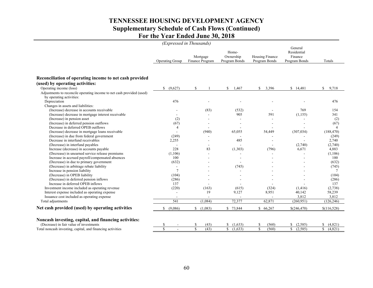## **TENNESSEE HOUSING DEVELOPMENT AGENCY Supplementary Schedule of Cash Flows (Continued) For the Year Ended June 30, 2018**

| General<br>Home-<br>Residential<br>Ownership<br>Housing Finance<br>Mortgage<br>Finance<br>Finance Program<br>Program Bonds<br>Program Bonds<br>Program Bonds<br><b>Operating Group</b><br>Totals<br>Reconciliation of operating income to net cash provided<br>(used) by operating activities:<br>Operating income (loss)<br>$\mathbb{S}$<br>\$<br>9,718<br>$\mathbb{S}$<br>(9,627)<br>\$<br>1,467<br>\$<br>3,396<br>\$14,481<br>Adjustments to reconcile operating income to net cash provided (used)<br>by operating activities:<br>Depreciation<br>476<br>Changes in assets and liabilities:<br>(Increase) decrease in accounts receivable<br>769<br>(83)<br>(532)<br>591<br>(Increase) decrease in mortgage interest receivable<br>905<br>(1, 155)<br>(Increase) in pension asset<br>(2)<br>(Increase) in deferred pension outflows<br>(67)<br>Decrease in deferred OPEB outflows<br>4<br>(Increase) decrease in mortgage loans receivable<br>(940)<br>54,449<br>(307, 034)<br>65,055<br>(Increase) in due from federal government<br>(249)<br>Decrease in interfund receivables<br>2,255<br>485<br>(Decrease) in interfund payables<br>(2,740)<br>Increase (decrease) in accounts payable<br>228<br>83<br>(1, 303)<br>(796)<br>6,671<br>(Decrease) in unearned service release premiums<br>(1,106)<br>$\overline{\phantom{a}}$<br>Increase in accrued payroll/compensated absences<br>100<br>(Decrease) in due to primary government<br>(632)<br>(Decrease) in arbitrage rebate liability<br>(745)<br>$\sim$<br>Increase in pension liability<br>$\tau$<br>(Decrease) in OPEB liability<br>(104)<br>(Decrease) in deferred pension inflows<br>(286)<br>Increase in deferred OPEB inflows<br>137<br>Investment income included as operating revenue<br>(220)<br>(163)<br>(615)<br>(324)<br>(1,416)<br>(2,738)<br>Interest expense included as operating expense<br>19<br>9,127<br>8,951<br>40,142<br>58,239<br>Issuance cost included as operating expense<br>3,812<br>3,812<br>÷.<br>$\sim$<br>541<br>62,871<br>Total adjustments<br>(1,084)<br>72,377<br>(260, 951)<br>(126, 246)<br>Net cash provided (used) by operating activities<br>(9,086)<br>(1,083)<br>\$73,844<br>\$66,267<br>\$.<br>\$(246,470)<br>Noncash investing, capital, and financing activities:<br>(Decrease) in fair value of investments<br>(2,585)<br>\$<br>(43)<br>\$<br>(1,633)<br>\$<br>(560)<br>\$<br>\$ |                                                            | (Expressed in Thousands) |                            |                        |                       |                         |                         |  |
|------------------------------------------------------------------------------------------------------------------------------------------------------------------------------------------------------------------------------------------------------------------------------------------------------------------------------------------------------------------------------------------------------------------------------------------------------------------------------------------------------------------------------------------------------------------------------------------------------------------------------------------------------------------------------------------------------------------------------------------------------------------------------------------------------------------------------------------------------------------------------------------------------------------------------------------------------------------------------------------------------------------------------------------------------------------------------------------------------------------------------------------------------------------------------------------------------------------------------------------------------------------------------------------------------------------------------------------------------------------------------------------------------------------------------------------------------------------------------------------------------------------------------------------------------------------------------------------------------------------------------------------------------------------------------------------------------------------------------------------------------------------------------------------------------------------------------------------------------------------------------------------------------------------------------------------------------------------------------------------------------------------------------------------------------------------------------------------------------------------------------------------------------------------------------------------------------------------------------------------------------------------------------------------------------------------------------------------------------------------------------------------|------------------------------------------------------------|--------------------------|----------------------------|------------------------|-----------------------|-------------------------|-------------------------|--|
|                                                                                                                                                                                                                                                                                                                                                                                                                                                                                                                                                                                                                                                                                                                                                                                                                                                                                                                                                                                                                                                                                                                                                                                                                                                                                                                                                                                                                                                                                                                                                                                                                                                                                                                                                                                                                                                                                                                                                                                                                                                                                                                                                                                                                                                                                                                                                                                          |                                                            |                          |                            |                        |                       |                         |                         |  |
|                                                                                                                                                                                                                                                                                                                                                                                                                                                                                                                                                                                                                                                                                                                                                                                                                                                                                                                                                                                                                                                                                                                                                                                                                                                                                                                                                                                                                                                                                                                                                                                                                                                                                                                                                                                                                                                                                                                                                                                                                                                                                                                                                                                                                                                                                                                                                                                          |                                                            |                          |                            |                        |                       |                         |                         |  |
|                                                                                                                                                                                                                                                                                                                                                                                                                                                                                                                                                                                                                                                                                                                                                                                                                                                                                                                                                                                                                                                                                                                                                                                                                                                                                                                                                                                                                                                                                                                                                                                                                                                                                                                                                                                                                                                                                                                                                                                                                                                                                                                                                                                                                                                                                                                                                                                          |                                                            |                          |                            |                        |                       |                         |                         |  |
|                                                                                                                                                                                                                                                                                                                                                                                                                                                                                                                                                                                                                                                                                                                                                                                                                                                                                                                                                                                                                                                                                                                                                                                                                                                                                                                                                                                                                                                                                                                                                                                                                                                                                                                                                                                                                                                                                                                                                                                                                                                                                                                                                                                                                                                                                                                                                                                          |                                                            |                          |                            |                        |                       |                         |                         |  |
|                                                                                                                                                                                                                                                                                                                                                                                                                                                                                                                                                                                                                                                                                                                                                                                                                                                                                                                                                                                                                                                                                                                                                                                                                                                                                                                                                                                                                                                                                                                                                                                                                                                                                                                                                                                                                                                                                                                                                                                                                                                                                                                                                                                                                                                                                                                                                                                          |                                                            |                          |                            |                        |                       |                         |                         |  |
|                                                                                                                                                                                                                                                                                                                                                                                                                                                                                                                                                                                                                                                                                                                                                                                                                                                                                                                                                                                                                                                                                                                                                                                                                                                                                                                                                                                                                                                                                                                                                                                                                                                                                                                                                                                                                                                                                                                                                                                                                                                                                                                                                                                                                                                                                                                                                                                          |                                                            |                          |                            |                        |                       |                         |                         |  |
|                                                                                                                                                                                                                                                                                                                                                                                                                                                                                                                                                                                                                                                                                                                                                                                                                                                                                                                                                                                                                                                                                                                                                                                                                                                                                                                                                                                                                                                                                                                                                                                                                                                                                                                                                                                                                                                                                                                                                                                                                                                                                                                                                                                                                                                                                                                                                                                          |                                                            |                          |                            |                        |                       |                         | 476                     |  |
|                                                                                                                                                                                                                                                                                                                                                                                                                                                                                                                                                                                                                                                                                                                                                                                                                                                                                                                                                                                                                                                                                                                                                                                                                                                                                                                                                                                                                                                                                                                                                                                                                                                                                                                                                                                                                                                                                                                                                                                                                                                                                                                                                                                                                                                                                                                                                                                          |                                                            |                          |                            |                        |                       |                         |                         |  |
|                                                                                                                                                                                                                                                                                                                                                                                                                                                                                                                                                                                                                                                                                                                                                                                                                                                                                                                                                                                                                                                                                                                                                                                                                                                                                                                                                                                                                                                                                                                                                                                                                                                                                                                                                                                                                                                                                                                                                                                                                                                                                                                                                                                                                                                                                                                                                                                          |                                                            |                          |                            |                        |                       |                         | 154                     |  |
|                                                                                                                                                                                                                                                                                                                                                                                                                                                                                                                                                                                                                                                                                                                                                                                                                                                                                                                                                                                                                                                                                                                                                                                                                                                                                                                                                                                                                                                                                                                                                                                                                                                                                                                                                                                                                                                                                                                                                                                                                                                                                                                                                                                                                                                                                                                                                                                          |                                                            |                          |                            |                        |                       |                         | 341                     |  |
|                                                                                                                                                                                                                                                                                                                                                                                                                                                                                                                                                                                                                                                                                                                                                                                                                                                                                                                                                                                                                                                                                                                                                                                                                                                                                                                                                                                                                                                                                                                                                                                                                                                                                                                                                                                                                                                                                                                                                                                                                                                                                                                                                                                                                                                                                                                                                                                          |                                                            |                          |                            |                        |                       |                         | (2)                     |  |
|                                                                                                                                                                                                                                                                                                                                                                                                                                                                                                                                                                                                                                                                                                                                                                                                                                                                                                                                                                                                                                                                                                                                                                                                                                                                                                                                                                                                                                                                                                                                                                                                                                                                                                                                                                                                                                                                                                                                                                                                                                                                                                                                                                                                                                                                                                                                                                                          |                                                            |                          |                            |                        |                       |                         | (67)                    |  |
|                                                                                                                                                                                                                                                                                                                                                                                                                                                                                                                                                                                                                                                                                                                                                                                                                                                                                                                                                                                                                                                                                                                                                                                                                                                                                                                                                                                                                                                                                                                                                                                                                                                                                                                                                                                                                                                                                                                                                                                                                                                                                                                                                                                                                                                                                                                                                                                          |                                                            |                          |                            |                        |                       |                         | $\overline{4}$          |  |
|                                                                                                                                                                                                                                                                                                                                                                                                                                                                                                                                                                                                                                                                                                                                                                                                                                                                                                                                                                                                                                                                                                                                                                                                                                                                                                                                                                                                                                                                                                                                                                                                                                                                                                                                                                                                                                                                                                                                                                                                                                                                                                                                                                                                                                                                                                                                                                                          |                                                            |                          |                            |                        |                       |                         | (188, 470)              |  |
|                                                                                                                                                                                                                                                                                                                                                                                                                                                                                                                                                                                                                                                                                                                                                                                                                                                                                                                                                                                                                                                                                                                                                                                                                                                                                                                                                                                                                                                                                                                                                                                                                                                                                                                                                                                                                                                                                                                                                                                                                                                                                                                                                                                                                                                                                                                                                                                          |                                                            |                          |                            |                        |                       |                         | (249)                   |  |
|                                                                                                                                                                                                                                                                                                                                                                                                                                                                                                                                                                                                                                                                                                                                                                                                                                                                                                                                                                                                                                                                                                                                                                                                                                                                                                                                                                                                                                                                                                                                                                                                                                                                                                                                                                                                                                                                                                                                                                                                                                                                                                                                                                                                                                                                                                                                                                                          |                                                            |                          |                            |                        |                       |                         | 2,740                   |  |
|                                                                                                                                                                                                                                                                                                                                                                                                                                                                                                                                                                                                                                                                                                                                                                                                                                                                                                                                                                                                                                                                                                                                                                                                                                                                                                                                                                                                                                                                                                                                                                                                                                                                                                                                                                                                                                                                                                                                                                                                                                                                                                                                                                                                                                                                                                                                                                                          |                                                            |                          |                            |                        |                       |                         | (2,740)                 |  |
|                                                                                                                                                                                                                                                                                                                                                                                                                                                                                                                                                                                                                                                                                                                                                                                                                                                                                                                                                                                                                                                                                                                                                                                                                                                                                                                                                                                                                                                                                                                                                                                                                                                                                                                                                                                                                                                                                                                                                                                                                                                                                                                                                                                                                                                                                                                                                                                          |                                                            |                          |                            |                        |                       |                         | 4,883                   |  |
|                                                                                                                                                                                                                                                                                                                                                                                                                                                                                                                                                                                                                                                                                                                                                                                                                                                                                                                                                                                                                                                                                                                                                                                                                                                                                                                                                                                                                                                                                                                                                                                                                                                                                                                                                                                                                                                                                                                                                                                                                                                                                                                                                                                                                                                                                                                                                                                          |                                                            |                          |                            |                        |                       |                         | (1,106)                 |  |
|                                                                                                                                                                                                                                                                                                                                                                                                                                                                                                                                                                                                                                                                                                                                                                                                                                                                                                                                                                                                                                                                                                                                                                                                                                                                                                                                                                                                                                                                                                                                                                                                                                                                                                                                                                                                                                                                                                                                                                                                                                                                                                                                                                                                                                                                                                                                                                                          |                                                            |                          |                            |                        |                       |                         | 100                     |  |
|                                                                                                                                                                                                                                                                                                                                                                                                                                                                                                                                                                                                                                                                                                                                                                                                                                                                                                                                                                                                                                                                                                                                                                                                                                                                                                                                                                                                                                                                                                                                                                                                                                                                                                                                                                                                                                                                                                                                                                                                                                                                                                                                                                                                                                                                                                                                                                                          |                                                            |                          |                            |                        |                       |                         | (632)                   |  |
|                                                                                                                                                                                                                                                                                                                                                                                                                                                                                                                                                                                                                                                                                                                                                                                                                                                                                                                                                                                                                                                                                                                                                                                                                                                                                                                                                                                                                                                                                                                                                                                                                                                                                                                                                                                                                                                                                                                                                                                                                                                                                                                                                                                                                                                                                                                                                                                          |                                                            |                          |                            |                        |                       |                         | (745)                   |  |
|                                                                                                                                                                                                                                                                                                                                                                                                                                                                                                                                                                                                                                                                                                                                                                                                                                                                                                                                                                                                                                                                                                                                                                                                                                                                                                                                                                                                                                                                                                                                                                                                                                                                                                                                                                                                                                                                                                                                                                                                                                                                                                                                                                                                                                                                                                                                                                                          |                                                            |                          |                            |                        |                       |                         | 7                       |  |
|                                                                                                                                                                                                                                                                                                                                                                                                                                                                                                                                                                                                                                                                                                                                                                                                                                                                                                                                                                                                                                                                                                                                                                                                                                                                                                                                                                                                                                                                                                                                                                                                                                                                                                                                                                                                                                                                                                                                                                                                                                                                                                                                                                                                                                                                                                                                                                                          |                                                            |                          |                            |                        |                       |                         | (104)                   |  |
|                                                                                                                                                                                                                                                                                                                                                                                                                                                                                                                                                                                                                                                                                                                                                                                                                                                                                                                                                                                                                                                                                                                                                                                                                                                                                                                                                                                                                                                                                                                                                                                                                                                                                                                                                                                                                                                                                                                                                                                                                                                                                                                                                                                                                                                                                                                                                                                          |                                                            |                          |                            |                        |                       |                         | (286)                   |  |
|                                                                                                                                                                                                                                                                                                                                                                                                                                                                                                                                                                                                                                                                                                                                                                                                                                                                                                                                                                                                                                                                                                                                                                                                                                                                                                                                                                                                                                                                                                                                                                                                                                                                                                                                                                                                                                                                                                                                                                                                                                                                                                                                                                                                                                                                                                                                                                                          |                                                            |                          |                            |                        |                       |                         | 137                     |  |
|                                                                                                                                                                                                                                                                                                                                                                                                                                                                                                                                                                                                                                                                                                                                                                                                                                                                                                                                                                                                                                                                                                                                                                                                                                                                                                                                                                                                                                                                                                                                                                                                                                                                                                                                                                                                                                                                                                                                                                                                                                                                                                                                                                                                                                                                                                                                                                                          |                                                            |                          |                            |                        |                       |                         |                         |  |
|                                                                                                                                                                                                                                                                                                                                                                                                                                                                                                                                                                                                                                                                                                                                                                                                                                                                                                                                                                                                                                                                                                                                                                                                                                                                                                                                                                                                                                                                                                                                                                                                                                                                                                                                                                                                                                                                                                                                                                                                                                                                                                                                                                                                                                                                                                                                                                                          |                                                            |                          |                            |                        |                       |                         |                         |  |
|                                                                                                                                                                                                                                                                                                                                                                                                                                                                                                                                                                                                                                                                                                                                                                                                                                                                                                                                                                                                                                                                                                                                                                                                                                                                                                                                                                                                                                                                                                                                                                                                                                                                                                                                                                                                                                                                                                                                                                                                                                                                                                                                                                                                                                                                                                                                                                                          |                                                            |                          |                            |                        |                       |                         |                         |  |
|                                                                                                                                                                                                                                                                                                                                                                                                                                                                                                                                                                                                                                                                                                                                                                                                                                                                                                                                                                                                                                                                                                                                                                                                                                                                                                                                                                                                                                                                                                                                                                                                                                                                                                                                                                                                                                                                                                                                                                                                                                                                                                                                                                                                                                                                                                                                                                                          |                                                            |                          |                            |                        |                       |                         |                         |  |
|                                                                                                                                                                                                                                                                                                                                                                                                                                                                                                                                                                                                                                                                                                                                                                                                                                                                                                                                                                                                                                                                                                                                                                                                                                                                                                                                                                                                                                                                                                                                                                                                                                                                                                                                                                                                                                                                                                                                                                                                                                                                                                                                                                                                                                                                                                                                                                                          |                                                            |                          |                            |                        |                       |                         | \$(116,528)             |  |
|                                                                                                                                                                                                                                                                                                                                                                                                                                                                                                                                                                                                                                                                                                                                                                                                                                                                                                                                                                                                                                                                                                                                                                                                                                                                                                                                                                                                                                                                                                                                                                                                                                                                                                                                                                                                                                                                                                                                                                                                                                                                                                                                                                                                                                                                                                                                                                                          |                                                            |                          |                            |                        |                       |                         |                         |  |
|                                                                                                                                                                                                                                                                                                                                                                                                                                                                                                                                                                                                                                                                                                                                                                                                                                                                                                                                                                                                                                                                                                                                                                                                                                                                                                                                                                                                                                                                                                                                                                                                                                                                                                                                                                                                                                                                                                                                                                                                                                                                                                                                                                                                                                                                                                                                                                                          |                                                            |                          |                            |                        |                       |                         | (4,821)                 |  |
|                                                                                                                                                                                                                                                                                                                                                                                                                                                                                                                                                                                                                                                                                                                                                                                                                                                                                                                                                                                                                                                                                                                                                                                                                                                                                                                                                                                                                                                                                                                                                                                                                                                                                                                                                                                                                                                                                                                                                                                                                                                                                                                                                                                                                                                                                                                                                                                          | Total noncash investing, capital, and financing activities | \$.                      | $\mathbf{\hat{S}}$<br>(43) | $\mathbf S$<br>(1,633) | $\mathbf{s}$<br>(560) | (2,585)<br>$\mathbf{s}$ | $\mathbf{s}$<br>(4,821) |  |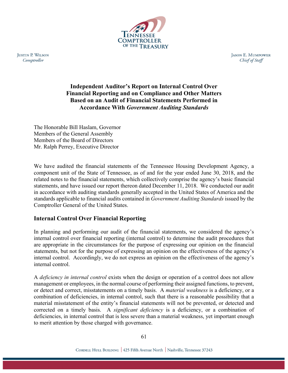

**JUSTIN P. WILSON** Comptroller

**JASON E. MUMPOWER** Chief of Staff

#### **Independent Auditor's Report on Internal Control Over Financial Reporting and on Compliance and Other Matters Based on an Audit of Financial Statements Performed in Accordance With** *Government Auditing Standards*

The Honorable Bill Haslam, Governor Members of the General Assembly Members of the Board of Directors Mr. Ralph Perrey, Executive Director

We have audited the financial statements of the Tennessee Housing Development Agency, a component unit of the State of Tennessee, as of and for the year ended June 30, 2018, and the related notes to the financial statements, which collectively comprise the agency's basic financial statements, and have issued our report thereon dated December 11, 2018. We conducted our audit in accordance with auditing standards generally accepted in the United States of America and the standards applicable to financial audits contained in *Government Auditing Standards* issued by the Comptroller General of the United States.

#### **Internal Control Over Financial Reporting**

In planning and performing our audit of the financial statements, we considered the agency's internal control over financial reporting (internal control) to determine the audit procedures that are appropriate in the circumstances for the purpose of expressing our opinion on the financial statements, but not for the purpose of expressing an opinion on the effectiveness of the agency's internal control. Accordingly, we do not express an opinion on the effectiveness of the agency's internal control.

A *deficiency in internal control* exists when the design or operation of a control does not allow management or employees, in the normal course of performing their assigned functions, to prevent, or detect and correct, misstatements on a timely basis. A *material weakness* is a deficiency, or a combination of deficiencies, in internal control, such that there is a reasonable possibility that a material misstatement of the entity's financial statements will not be prevented, or detected and corrected on a timely basis. A *significant deficiency* is a deficiency, or a combination of deficiencies, in internal control that is less severe than a material weakness, yet important enough to merit attention by those charged with governance.